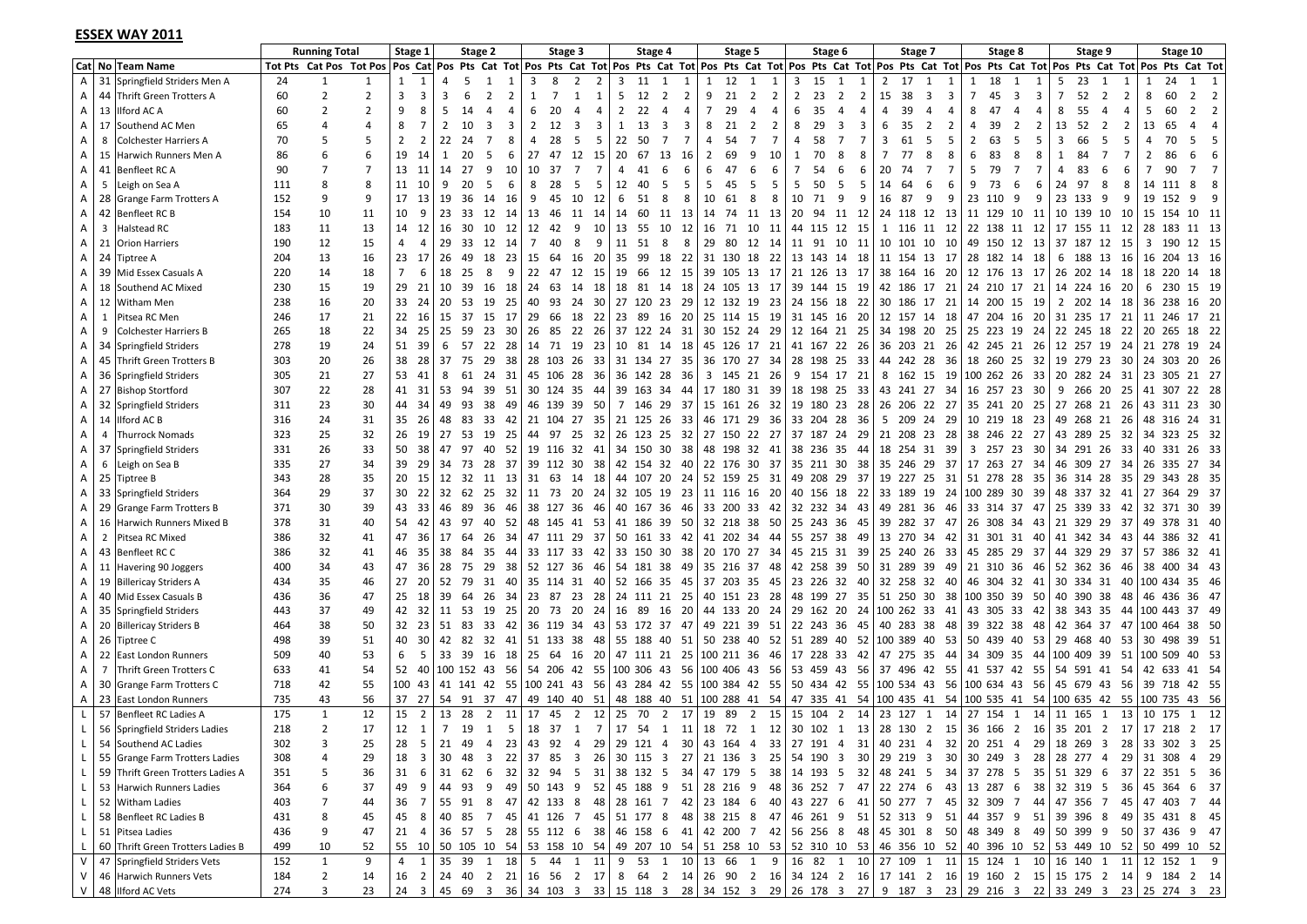#### **ESSEX WAY 2011**

|                         |                                            |     | <b>Running Total</b> |                         | Stage 1        |                |                       | Stage 2                                       |       |                | Stage 3        |                            |    |              | Stage 4        |    |                | Stage 5                                                      |                |                | Stage 6              |                |                | Stage 7                                                 |                |                   | Stage 8        |                | Stage 9              |                     | Stage 10                                                                                                                                                                                                                       |                                  |
|-------------------------|--------------------------------------------|-----|----------------------|-------------------------|----------------|----------------|-----------------------|-----------------------------------------------|-------|----------------|----------------|----------------------------|----|--------------|----------------|----|----------------|--------------------------------------------------------------|----------------|----------------|----------------------|----------------|----------------|---------------------------------------------------------|----------------|-------------------|----------------|----------------|----------------------|---------------------|--------------------------------------------------------------------------------------------------------------------------------------------------------------------------------------------------------------------------------|----------------------------------|
|                         | Cat No Team Name                           |     |                      | Tot Pts Cat Pos Tot Pos |                |                |                       |                                               |       |                |                |                            |    |              |                |    |                |                                                              |                |                |                      |                |                |                                                         |                |                   |                |                |                      |                     | Pos Cat Pos Pts Cat Tot Pos Pts Cat Tot Pos Pts Cat Tot Pos Pts Cat Tot Pos Pts Cat Tot Pos Pts Cat Tot Pos Pts Cat Tot Pos Pts Cat Tot Pos Pts Cat Tot Pos Pts Cat Tot Pos Pts Cat Tot Pos Pts Cat Tot Pos Pts Cat Tot Pos Pt |                                  |
| $\overline{A}$          | 31 Springfield Striders Men A              | 24  | $\mathbf{1}$         |                         | 1              | 1              | $\boldsymbol{\Delta}$ | 5<br>-1                                       | 1     | 3              | 8              | $\overline{2}$<br>2        |    | 11           | 1              | -1 | 1              | 12<br>1                                                      | 1              | 3              | 15<br>1              | 1              | 2              | 17<br>1                                                 |                | 18<br>-1          |                |                | 23<br>5              |                     |                                                                                                                                                                                                                                |                                  |
| A                       | Thrift Green Trotters A<br>44              | 60  | $\overline{2}$       | 2                       | $\overline{3}$ | 3              | 3                     | 2<br>6                                        | 2     | 1              | $\overline{7}$ | 1<br>1                     | 5  | 12           | 2              | 2  | 9              | 21<br>$\overline{2}$                                         | $\overline{2}$ | $\overline{2}$ | 23<br>$\overline{2}$ | $\overline{2}$ | 15             | 38<br>-3                                                | 3              | $7^{\circ}$<br>45 | -3             | 3              | $\overline{7}$<br>52 | $\overline{2}$<br>2 | 60<br>8                                                                                                                                                                                                                        | $\overline{2}$<br>$\overline{2}$ |
| A                       | 13<br><b>Ilford AC A</b>                   | 60  | 2                    | $\overline{z}$          | 9              | 8              | 5                     | 14<br>$\boldsymbol{\Delta}$                   | 4     | 6              | 20             | $\boldsymbol{\Delta}$<br>4 | 2  | 22           | $\overline{4}$ | 4  | $\overline{7}$ | 29<br>$\overline{4}$                                         | $\overline{4}$ | 6              | 35<br>$\overline{4}$ | $\overline{4}$ | $\overline{4}$ | 39<br>$\overline{a}$                                    | $\overline{4}$ | 8<br>47           | 4              | 4              | 8<br>55              | 4<br>4              | .5<br>60                                                                                                                                                                                                                       | $\overline{2}$                   |
| A                       | Southend AC Men<br>17                      | 65  | 4                    | $\overline{a}$          | 8              |                | $\overline{2}$        | 10<br>3                                       | 3     | $\overline{2}$ | 12             | 3<br>3                     | 1  | 13           | 3              | 3  | 8              | 21<br>$\overline{2}$                                         | $\overline{2}$ | 8              | 29<br>3              | 3              | 6              | 35<br>$\overline{2}$                                    | $\overline{2}$ | 39<br>4           | $\overline{2}$ | 2              | 13<br>52             | $\overline{2}$<br>2 | 13<br>65                                                                                                                                                                                                                       |                                  |
| A                       | 8<br><b>Colchester Harriers A</b>          | 70  | 5                    | 5                       | $\overline{2}$ | $\overline{2}$ | 22                    | 24<br>7                                       | 8     | 4              | 28             | 5<br>5                     | 22 | 50           | $\overline{7}$ | 7  | $\overline{4}$ | 54<br>$\overline{7}$                                         | $\overline{7}$ | 4              | $\overline{7}$<br>58 | 7              | 3              | -5<br>61                                                | 5              | 63<br>2           | 5              | 5              | 66<br>3              | 5<br>5              | 70<br>4                                                                                                                                                                                                                        |                                  |
| A                       | Harwich Runners Men A<br>15                | 86  | 6                    |                         | 19             | -14            | 1                     | 20<br>-5                                      | 6     | 27             | -47            | 12<br>15                   | 20 | 67           | 13             | 16 | 2              | 69<br>9                                                      | 10             | 1              | 70<br>8              | 8              | 7              | 77<br>8                                                 | 8              | 83<br>6           | 8              | 8              | $\mathbf{1}$<br>84   | 7<br>7              | 2<br>86                                                                                                                                                                                                                        | 6                                |
| A                       | 41 Benfleet RC A                           | 90  | $\overline{7}$       | $\overline{7}$          | 13 11          |                | 14                    | 27<br>9                                       | 10    | 10             | - 37           | $\overline{7}$<br>7        | 4  | 41           | 6              | 6  | 6              | 47<br>6                                                      | 6              | 7              | 54<br>6              | 6              | 20             | 74<br>7                                                 | $\overline{7}$ | 5<br>79           | $\overline{7}$ | $\overline{7}$ | 4<br>83              | 6<br>6              | 90<br>7                                                                                                                                                                                                                        | $\overline{7}$                   |
| A                       | 5<br>Leigh on Sea A                        | 111 | 8                    | $\mathbf{8}$            | 11             | 10             | 9                     | 5<br>20                                       | 6     | 8              | 28             | 5<br>5                     | 12 | 40           | -5             | 5  | 5              | 5<br>45                                                      | 5              | 5              | 50<br>5              | 5              | 14             | 64<br>6                                                 | 6              | 9<br>73           | 6              | 6              | 97<br>24             | 8<br>8              | 14<br>-111                                                                                                                                                                                                                     |                                  |
| A                       | 28<br><b>Grange Farm Trotters A</b>        | 152 | 9                    | $\mathbf{q}$            | 17 13          |                | 19                    | 36<br>14                                      | 16    | 9              | -45            | 10<br>12                   | 6  | 51           | -8             | 8  | 10             | 8<br>61                                                      | 8              | 10 71          | 9                    | 9              | 16             | 87<br>-9                                                | q              | 23 110 9          |                | 9              | 23 133               | -9<br>9             | 19<br>152                                                                                                                                                                                                                      | 9<br>-9                          |
| A                       | 42<br>Benfleet RC B                        | 154 | 10                   | 11                      | 10             | 9              | 23                    | 33                                            | 12 14 | 13             | -46            | 11 14                      | 14 |              | 60 11 13       |    | 14             | 74                                                           | 11 13          |                | 20 94 11 12          |                |                | 24 118 12 13                                            |                | 11 129 10 11      |                |                | 10 139 10            | 10                  | 15<br>154                                                                                                                                                                                                                      | 10 11                            |
| $\mathsf{A}$            | 3<br><b>Halstead RC</b>                    | 183 | 11                   | 13                      | 14 12          |                | 16                    | 30                                            | 10 12 | 12 42          |                | 9<br>10                    | 13 | 55           | 10             | 12 | 16             | 71 10                                                        | 11             |                | 44 115 12 15         |                |                | 1 116 11 12                                             |                | 22 138 11 12      |                |                | 17 155 11 12         |                     | 28<br>183                                                                                                                                                                                                                      | 11 13                            |
| $\mathsf{A}$            | <b>Orion Harriers</b><br>21                | 190 | 12                   | 15                      | $\overline{4}$ | $\overline{4}$ | 29                    | 33                                            | 12 14 | 7              | 40             | 8<br>9                     | 11 | 51           | 8              | 8  | 29             | 80                                                           | 12 14          |                | 11 91 10             | 11             |                | 10 101 10 10                                            |                | 49 150 12 13      |                |                | 37 187 12 15         |                     | 3<br>- 190                                                                                                                                                                                                                     | 12 15                            |
| A                       | 24<br><b>Tiptree A</b>                     | 204 | 13                   | 16                      | 23 17          |                | 26                    | 18<br>49                                      | 23    | 15             | 64             | 20<br>16                   | 35 | 99           | 18             | 22 |                | 31 130 18                                                    | 22             |                | 13 143 14 18         |                |                | 11 154 13 17                                            |                | 28 182 14 18      |                |                | 6 188 13 16 16       |                     | -204                                                                                                                                                                                                                           | 13 16                            |
| A                       | 39<br>Mid Essex Casuals A                  | 220 | 14                   | 18                      | $\overline{7}$ | 6              | 18                    | 8<br>25                                       | 9     | 22             | -47            | 12<br>15                   | 19 | 66 12        |                | 15 |                | 39 105 13 17                                                 |                |                | 21 126 13 17         |                |                | 38 164 16 20                                            |                | 12 176 13 17      |                |                | 26 202 14 18         |                     | 18 220                                                                                                                                                                                                                         | 14 18                            |
| $\mathsf{A}$            | 18<br>Southend AC Mixed                    | 230 | 15                   | 19                      | 29             | -21            | 10                    | 39                                            | 16 18 | 24             | 63             | 18<br>14                   | 18 |              | 81 14 18       |    |                | 24 105 13 17                                                 |                |                | 39 144 15 19         |                |                | 42 186 17 21                                            |                | 24 210 17 21      |                |                | 14 224 16 20         |                     | 6<br>230                                                                                                                                                                                                                       | 15 19                            |
| $\mathsf{A}$            | 12<br>Witham Men                           | 238 | 16                   | 20                      | 33 24          |                | 20                    | 53<br>19                                      | 25    | 40             | 93             | 24<br>30                   |    | 27 120 23 29 |                |    |                | 12 132 19                                                    | -23            |                | 24 156 18 22         |                |                | 30 186 17 21                                            |                | 14 200 15 19      |                |                | 2 202 14 18          |                     | 36 238                                                                                                                                                                                                                         | 16 20                            |
| $\mathsf{A}$            | Pitsea RC Men<br>1                         | 246 | 17                   | 21                      | 22 16          |                | 15                    | 37                                            | 15 17 | 29             | 66             | 18<br>22                   |    | 23 89 16 20  |                |    |                | 25 114 15 19                                                 |                |                | 31 145 16 20         |                |                | 12 157 14 18                                            |                | 47 204 16 20      |                |                |                      |                     | 31 235 17 21 11 246                                                                                                                                                                                                            | 17 21                            |
| $\mathsf{A}$            | <b>Colchester Harriers B</b><br>9          | 265 | 18                   | 22                      | 34             | -25            | 25                    | 59<br>23                                      | 30    | 26 85          |                | 22<br>26                   |    | 37 122 24 31 |                |    |                | 30 152 24                                                    | 29             |                | 12 164 21 25         |                |                | 34 198 20 25                                            |                | 25 223 19 24      |                |                | 22 245 18 22         |                     | 20 265                                                                                                                                                                                                                         | 18 22                            |
| A                       | 34<br>Springfield Striders                 | 278 | 19                   | 24                      | 51 39          |                | 6                     | 22<br>57                                      | 28    | 14 71          |                | 19<br>- 23                 |    | 10 81 14 18  |                |    |                | 45 126 17 21                                                 |                |                | 41 167 22 26         |                |                | 36 203 21 26                                            |                | 42 245 21 26      |                |                | 12 257 19 24         |                     | 21 278                                                                                                                                                                                                                         | 19 24                            |
| A                       | 45<br><b>Thrift Green Trotters B</b>       | 303 | 20                   | 26                      | 38             | -28            | 37                    | 75<br>29                                      | 38    |                |                | 28 103 26 33               |    | 31 134 27 35 |                |    |                | 36 170 27 34                                                 |                |                | 28 198 25 33         |                |                | 44 242 28 36                                            |                | 18 260 25 32      |                |                | 19 279 23 30         |                     | 303<br>24                                                                                                                                                                                                                      | 20 26                            |
| A                       | 36<br>Springfield Striders                 | 305 | 21                   | 27                      | 53             | 41             | 8                     | 61                                            | 24 31 |                |                | 45 106 28 36               |    | 36 142 28 36 |                |    |                | 3 145 21 26                                                  |                |                | 9 154 17 21          |                |                | 8 162 15 19                                             |                | 100 262 26 33     |                |                | 20 282 24 31         |                     | 23 305                                                                                                                                                                                                                         | 21 27                            |
| A                       | 27 Bishop Stortford                        | 307 | 22                   | 28                      |                | 41 31          | 53                    | 94                                            | 39 51 |                |                | 30 124 35 44               |    | 39 163 34 44 |                |    |                | 17 180 31 39                                                 |                |                | 18 198 25 33         |                |                | 43 241 27 34                                            |                | 16 257 23 30      |                |                | 9 266 20 25          |                     | 41<br>307                                                                                                                                                                                                                      | 22 28                            |
| A                       | Springfield Striders<br>32                 | 311 | 23                   | 30                      | 44 34          |                | 49                    | 93<br>38                                      | 49    |                |                | 46 139 39 50               |    | 7 146 29 37  |                |    |                | 15 161 26 32                                                 |                |                | 19 180 23 28         |                |                | 26 206 22 27                                            |                | 35 241 20 25      |                |                | 27 268 21 26         |                     | 43 311                                                                                                                                                                                                                         | 23 30                            |
| A                       | Ilford AC B<br>14                          | 316 | 24                   | 31                      | 35 26          |                | 48                    | 83                                            | 33 42 |                | 21 104 27      | 35                         |    | 21 125 26 33 |                |    |                | 46 171 29 36                                                 |                |                | 33 204 28 36         |                |                | 5 209 24 29                                             |                | 10 219 18 23      |                |                | 49 268 21 26         |                     | 48<br>316                                                                                                                                                                                                                      | 24 31                            |
| A                       | <b>Thurrock Nomads</b><br>4                | 323 | 25                   | 32                      | 26             | 19             | 27                    | 53<br>19                                      | 25    | 44 97          |                | 25<br>32                   |    | 26 123 25 32 |                |    |                | 27 150 22 27                                                 |                |                | 37 187 24 29         |                |                | 21 208 23 28                                            |                | 38 246 22 27      |                |                | 43 289 25 32         |                     | 34 323                                                                                                                                                                                                                         | 25 32                            |
| A                       | 37<br>Springfield Striders                 | 331 | 26                   | 33                      | 50 38          |                | 47                    | 97<br>40                                      | 52    |                |                | 19 116 32 41               |    | 34 150 30 38 |                |    |                | 48 198 32 41                                                 |                |                | 38 236 35 44         |                |                | 18 254 31 39                                            |                | 3 257 23 30       |                |                | 34 291 26 33         |                     | 40 331                                                                                                                                                                                                                         | 26 33                            |
| $\mathsf{A}$            | 6<br>Leigh on Sea B                        | 335 | 27                   | 34                      | 39             | 29             | 34                    | 73                                            | 28 37 |                | 39 112 30      | 38                         |    | 42 154 32 40 |                |    |                | 22 176 30 37                                                 |                |                | 35 211 30            | 38             |                | 35 246 29 37                                            |                | 17 263 27 34      |                |                | 46 309 27 34         |                     | -26<br>335                                                                                                                                                                                                                     | 27 34                            |
| A                       | 25<br><b>Tiptree B</b>                     | 343 | 28                   | 35                      | 20 15          |                | 12                    | - 32                                          | 11 13 | 31 63          |                | 14<br>18                   |    | 44 107 20 24 |                |    |                | 52 159 25 31                                                 |                |                | 49 208 29 37         |                |                | 19 227 25 31                                            |                | 51 278 28 35      |                |                | 36 314 28 35         |                     | 29 343                                                                                                                                                                                                                         | 28 35                            |
| A                       | 33<br>Springfield Striders                 | 364 | 29                   | 37                      | 30 22          |                | 32                    | 62 25 32                                      |       | 11 73          |                | 20 24                      |    | 32 105 19 23 |                |    |                | 11 116 16 20                                                 |                |                | 40 156 18 22         |                |                | 33 189 19 24                                            |                | 100 289 30 39     |                |                | 48 337 32 41         |                     | 27<br>364                                                                                                                                                                                                                      | 29 37                            |
| $\mathsf{A}$            | 29<br>Grange Farm Trotters B               | 371 | 30                   | 39                      | 43 33          |                | 46                    | 89<br>36                                      | 46    |                | 38 127 36      | 46                         |    | 40 167 36 46 |                |    |                | 33 200 33 42                                                 |                |                | 32 232 34 43         |                |                | 49 281 36 46                                            |                | 33 314 37 47      |                |                | 25 339 33 42         |                     | 32 371                                                                                                                                                                                                                         | 30 39                            |
| A                       | <b>Harwich Runners Mixed B</b><br>16       | 378 | 31                   | 40                      | 54 42          |                | 43                    | 97                                            | 40 52 |                |                | 48 145 41 53               |    | 41 186 39 50 |                |    |                | 32 218 38 50                                                 |                |                | 25 243 36 45         |                |                | 39 282 37 47                                            |                | 26 308 34 43      |                |                | 21 329 29 37         |                     | 49 378                                                                                                                                                                                                                         | 31 40                            |
| A                       | $\overline{2}$<br>Pitsea RC Mixed          | 386 | 32                   | 41                      | 47             | 36 17          |                       | 26<br>64                                      | 34    | 47 111         |                | 29 37                      |    | 50 161 33 42 |                |    |                | 41 202 34                                                    | -44            |                | 55 257 38            | 49             |                | 13 270 34 42                                            |                | 31 301 31 40      |                |                | 41 342 34 43         |                     | 44 386                                                                                                                                                                                                                         | 32 41                            |
| $\overline{A}$          | 43<br>Benfleet RCC                         | 386 | 32                   | 41                      | 46 35          |                | 38                    | 35<br>84                                      | 44    |                | 33 117 33      | 42                         |    | 33 150 30 38 |                |    |                | 20 170 27 34                                                 |                |                | 45 215 31 39         |                |                | 25 240 26 33                                            |                | 45 285 29 37      |                |                | 44 329 29 37         |                     | 57 386                                                                                                                                                                                                                         | 32 41                            |
| $\mathsf{A}$            | 11 Havering 90 Joggers                     | 400 | 34                   | 43                      | 47             | 36             | 28                    | 75                                            | 29 38 | 52 127 36      |                | 46                         |    | 54 181 38 49 |                |    |                | 35 216 37 48                                                 |                |                | 42 258 39 50         |                |                | 31 289 39 49                                            |                | 21 310 36 46      |                |                | 52 362 36 46         |                     | 38<br>400                                                                                                                                                                                                                      | 34 43                            |
| $\overline{A}$          | <b>Billericay Striders A</b><br>19         | 434 | 35                   | 46                      |                | 27 20          | 52 79                 | 31                                            | 40    |                |                | 35 114 31 40               |    | 52 166 35 45 |                |    |                | 37 203 35 45                                                 |                |                | 23 226 32 40         |                |                | 32 258 32 40                                            |                | 46 304 32 41      |                |                | 30 334 31 40         |                     | 100 434                                                                                                                                                                                                                        | 35 46                            |
| A                       | 40 Mid Essex Casuals B                     | 436 | 36                   | 47                      | 25             | 18             | 39                    | 64                                            | 26 34 | 23 87          |                | 23 28                      |    | 24 111 21 25 |                |    |                | 40 151 23 28                                                 |                |                | 48 199 27 35         |                |                | 51 250 30 38                                            |                | 100 350 39 50     |                |                | 40 390 38 48         |                     | 46 436                                                                                                                                                                                                                         | 36 47                            |
| $\mathsf{A}$            | 35<br>Springfield Striders                 | 443 | 37                   | 49                      |                | 42 32 11       |                       | 53<br>19                                      | 25    | 20 73          |                | 20 24                      |    | 16 89 16 20  |                |    |                | 44 133 20                                                    | 24             |                |                      |                |                | 29 162 20 24 100 262 33 41                              |                | 43 305 33 42      |                |                |                      |                     | 38 343 35 44 100 443                                                                                                                                                                                                           | 37 49                            |
| A                       | 20<br><b>Billericay Striders B</b>         | 464 | 38                   | 50                      |                | 32 23 51 83    |                       |                                               | 33 42 |                | 36 119 34      | - 43                       |    | 53 172 37 47 |                |    |                | 49 221 39                                                    | - 51           |                | 22 243 36 45         |                |                | 40 283 38 48                                            |                | 39 322 38 48      |                |                | 42 364 37 47         |                     | 100 464                                                                                                                                                                                                                        | 38 50                            |
| $\mathsf{A}$            | 26<br><b>Tiptree C</b>                     | 498 | 39                   | 51                      | 40             | $30 \mid 42$   |                       | 82                                            | 32 41 | 51 133         |                | 48<br>-38                  |    | 55 188 40    |                | 51 |                | 50 238 40                                                    | 52             |                | 51 289 40            |                |                | 52 100 389 40 53                                        |                | 50 439 40 53      |                |                | 29 468 40 53         |                     | 30<br>-498                                                                                                                                                                                                                     | 39 51                            |
| A                       | 22<br><b>East London Runners</b>           | 509 | 40                   | 53                      | 6              | 5              | 33                    | 39 16 18                                      |       | 25 64          |                | 16<br>20                   |    | 47 111 21 25 |                |    |                | 100 211 36                                                   | - 46           |                | 17 228 33 42         |                |                | 47 275 35 44                                            |                | 34 309 35         |                | - 44           |                      |                     | 100 409 39 51 100 509                                                                                                                                                                                                          | 40 53                            |
| $\mathsf{A}$            | $7\overline{ }$<br>Thrift Green Trotters C | 633 | 41                   | 54                      |                |                |                       | 52 40 100 152 43 56                           |       |                |                | 54 206 42 55 100 306 43 56 |    |              |                |    |                | 100 406 43 56 53 459 43 56                                   |                |                |                      |                |                | 37 496 42 55                                            |                | 41 537 42 55      |                |                | 54 591 41 54         |                     | 42 633                                                                                                                                                                                                                         | 41 54                            |
| A I                     | 30 Grange Farm Trotters C                  | 718 | 42                   | 55                      |                |                |                       |                                               |       |                |                |                            |    |              |                |    |                | 100 43 41 141 42 55 100 241 43 56 43 284 42 55 100 384 42 55 |                |                |                      |                |                | 50 434 42 55 100 534 43 56                              |                | 100 634 43 56     |                |                |                      |                     | 45 679 43 56 39 718                                                                                                                                                                                                            | 42 55                            |
| $\mathsf{A}$            | 23 East London Runners                     | 735 | 43                   | 56                      |                |                |                       | 37 27 54 91 37 47                             |       |                |                |                            |    |              |                |    |                | 49 140 40 51 48 188 40 51 100 288 41 54                      |                |                |                      |                |                | 47 335 41 54 100 435 41 54                              |                | 100 535 41 54     |                |                | 100 635 42 55        |                     | 100 735                                                                                                                                                                                                                        | 43 56                            |
| L.                      | 57 Benfleet RC Ladies A                    | 175 | 1                    | 12                      | 15             | $\overline{2}$ | 13                    | 28                                            | 2 11  | 17             | 45             | $2 \quad 12$               | 25 |              | 70 2 17        |    | 19             | 89                                                           | 2 15           |                | 15 104 2 14          |                |                | 23 127 1 14                                             |                | 27 154 1 14       |                |                | 11 165 1 13          |                     | 10 175                                                                                                                                                                                                                         | 1 12                             |
| -L                      | 56 Springfield Striders Ladies             | 218 | $\overline{2}$       | 17                      |                |                |                       | $12 \quad 1 \quad 7 \quad 19 \quad 1 \quad 5$ |       |                |                |                            |    |              |                |    |                |                                                              |                |                |                      |                |                | 18 37 1 7 17 54 1 11 18 72 1 12 30 102 1 13 28 130 2 15 |                | 36 166 2 16       |                |                |                      |                     | 35 201 2 17 17 218 2 17                                                                                                                                                                                                        |                                  |
|                         | 54<br>Southend AC Ladies                   | 302 |                      | 25                      |                |                |                       |                                               |       |                |                |                            |    |              |                |    |                |                                                              |                |                |                      |                |                |                                                         |                |                   |                |                |                      |                     | 28 5 21 49 4 23 43 92 4 29 29 121 4 30 43 164 4 33 27 191 4 31 40 231 4 32 20 251 4 29 18 269 3 28 33 302 3 25                                                                                                                 |                                  |
| L.                      | 55 Grange Farm Trotters Ladies             | 308 | 4                    | 29                      | 18             |                |                       |                                               |       |                |                |                            |    |              |                |    |                |                                                              |                |                |                      |                |                |                                                         |                |                   |                |                |                      |                     | 3 30 48 3 22 37 85 3 26 30 115 3 27 21 136 3 25 54 190 3 30 29 219 3 30 30 249 3 28 28 277 4 29 31 308 4 29                                                                                                                    |                                  |
| $\mathbf{L}$            | 59 Thrift Green Trotters Ladies A          | 351 | 5                    | 36                      |                |                |                       |                                               |       |                |                |                            |    |              |                |    |                |                                                              |                |                |                      |                |                |                                                         |                |                   |                |                |                      |                     | 31 6 31 62 6 32 32 34 5 31 38 32 5 34 47 32 5 38 31 4 33 5 32 48 34 5 34 37 37 8 5 35 51 329 6 37 22 351 5 36                                                                                                                  |                                  |
|                         | L 53 Harwich Runners Ladies                | 364 | 6                    | 37                      |                |                |                       |                                               |       |                |                |                            |    |              |                |    |                |                                                              |                |                |                      |                |                |                                                         |                |                   |                |                |                      |                     | 49 9 44 93 9 49 50 143 9 52 45 188 9 51 28 216 9 48 36 252 7 47 22 274 6 43 13 287 6 38 32 319 5 36 45 364 6 37                                                                                                                |                                  |
| $\lfloor \cdot \rfloor$ | 52 Witham Ladies                           | 403 | 7                    | 44                      |                |                |                       |                                               |       |                |                |                            |    |              |                |    |                |                                                              |                |                |                      |                |                |                                                         |                |                   |                |                |                      |                     | 36 7 55 91 8 47 42 133 8 48 28 161 7 42 23 184 6 40 43 227 6 41 50 277 7 45 32 309 7 44 47 356 7 45 47 403 7 44                                                                                                                |                                  |
|                         | L 58 Benfleet RC Ladies B                  | 431 | 8                    | 45                      |                |                |                       |                                               |       |                |                |                            |    |              |                |    |                |                                                              |                |                |                      |                |                |                                                         |                |                   |                |                |                      |                     | 45 8 40 85 7 45 41 126 7 45 51 177 8 48 38 215 8 47 46 261 9 51 52 313 9 51 44 357 9 51 39 396 8 49 35 431 8 45                                                                                                                |                                  |
|                         | L 51 Pitsea Ladies                         | 436 | 9                    | 47                      |                | $21 \quad 4$   |                       |                                               |       |                |                |                            |    |              |                |    |                |                                                              |                |                |                      |                |                |                                                         |                |                   |                |                |                      |                     | 36 57 5 28   55 112 6 38   46 158 6 41   42 200 7 42   56 256 8 48   45 301 8 50   48 349 8 49   50 399 9 50   37 436 9 47                                                                                                     |                                  |
| $\mathsf{L}$            | 60 Thrift Green Trotters Ladies B          | 499 | 10                   | 52                      |                |                |                       |                                               |       |                |                |                            |    |              |                |    |                |                                                              |                |                |                      |                |                |                                                         |                |                   |                |                |                      |                     | 55 10 50 105 10 54 53 158 10 54 49 207 10 54 51 258 10 53 52 310 10 53 46 356 10 52 40 396 10 52 53 449 10 52 50 499 10 52                                                                                                     |                                  |
|                         | V 47 Springfield Striders Vets             | 152 | $\mathbf{1}$         | 9                       |                |                |                       |                                               |       |                |                |                            |    |              |                |    |                |                                                              |                |                |                      |                |                |                                                         |                |                   |                |                |                      |                     | 4 1 35 39 1 18 5 44 1 11 9 53 1 10 13 66 1 9 16 82 1 10 27 109 1 11 15 124 1 10 16 140 1 11 12 152 1 9                                                                                                                         |                                  |
|                         | V 46 Harwich Runners Vets                  | 184 | $\overline{2}$       | 14                      |                |                |                       |                                               |       |                |                |                            |    |              |                |    |                |                                                              |                |                |                      |                |                |                                                         |                |                   |                |                |                      |                     | 16 2 24 40 2 21 16 56 2 17 8 64 2 14 26 90 2 16 34 124 2 16 17 141 2 16 19 160 2 15 15 175 2 14 9 184 2 14                                                                                                                     |                                  |
|                         | V 48 Ilford AC Vets                        | 274 | 3                    | 23                      |                |                |                       |                                               |       |                |                |                            |    |              |                |    |                |                                                              |                |                |                      |                |                |                                                         |                |                   |                |                |                      |                     | 24 3 45 69 3 36 34 103 3 33 15 118 3 28 34 152 3 29 26 178 3 27 9 187 3 23 29 216 3 22 33 249 3 23 25 274 3 23                                                                                                                 |                                  |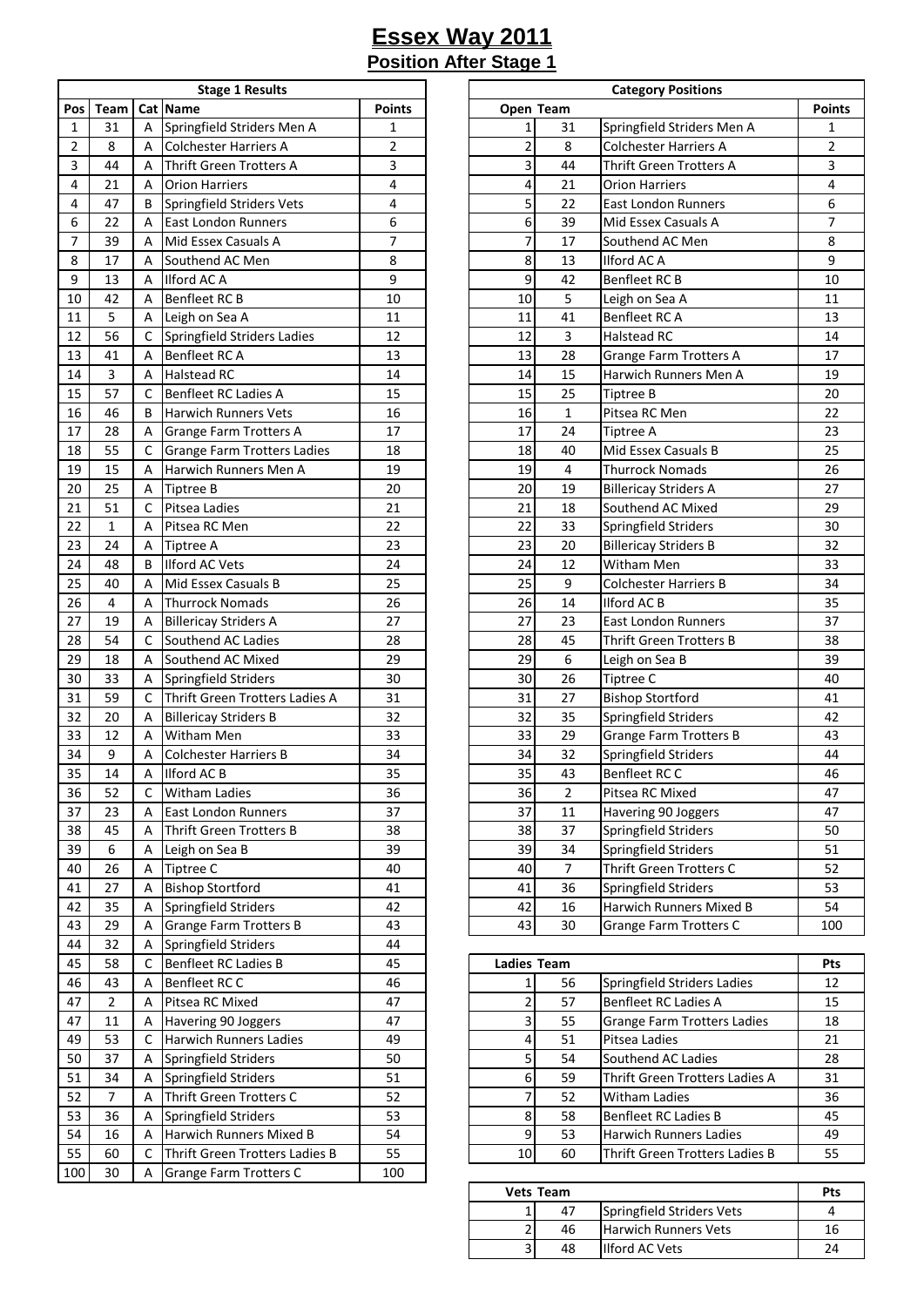| <b>Stage 1 Results</b> |                |     |                                    |               |  |  |  |  |  |  |
|------------------------|----------------|-----|------------------------------------|---------------|--|--|--|--|--|--|
| Pos                    | <b>Team</b>    | Cat | Name                               | <b>Points</b> |  |  |  |  |  |  |
| 1                      | 31             | Α   | Springfield Striders Men A         | 1             |  |  |  |  |  |  |
| $\overline{2}$         | 8              | А   | Colchester Harriers A              | 2             |  |  |  |  |  |  |
| 3                      | 44             | А   | <b>Thrift Green Trotters A</b>     | 3             |  |  |  |  |  |  |
| 4                      | 21             | А   | <b>Orion Harriers</b>              | 4             |  |  |  |  |  |  |
| 4                      | 47             | B   | Springfield Striders Vets          | 4             |  |  |  |  |  |  |
| 6                      | 22             | Α   | <b>East London Runners</b>         | 6             |  |  |  |  |  |  |
| 7                      | 39             | Α   | Mid Essex Casuals A                | 7             |  |  |  |  |  |  |
| 8                      | 17             | Α   | Southend AC Men                    | 8             |  |  |  |  |  |  |
| 9                      | 13             | Α   | <b>Ilford AC A</b>                 | 9             |  |  |  |  |  |  |
| 10                     | 42             | Α   | Benfleet RC B                      | 10            |  |  |  |  |  |  |
| 11                     | 5              | Α   | Leigh on Sea A                     | 11            |  |  |  |  |  |  |
| 12                     | 56             | C   | Springfield Striders Ladies        | 12            |  |  |  |  |  |  |
| 13                     | 41             | Α   | Benfleet RC A                      | 13            |  |  |  |  |  |  |
| 14                     | 3              | Α   | Halstead RC                        | 14            |  |  |  |  |  |  |
| 15                     | 57             | C   | Benfleet RC Ladies A               | 15            |  |  |  |  |  |  |
| 16                     | 46             | В   | <b>Harwich Runners Vets</b>        | 16            |  |  |  |  |  |  |
| 17                     | 28             | А   | Grange Farm Trotters A             | 17            |  |  |  |  |  |  |
| 18                     | 55             | С   | <b>Grange Farm Trotters Ladies</b> | 18            |  |  |  |  |  |  |
| 19                     | 15             | Α   | Harwich Runners Men A              | 19            |  |  |  |  |  |  |
| 20                     | 25             | Α   | <b>Tiptree B</b>                   | 20            |  |  |  |  |  |  |
| 21                     | 51             | С   | Pitsea Ladies                      | 21            |  |  |  |  |  |  |
| 22                     | $\mathbf{1}$   | А   | Pitsea RC Men                      | 22            |  |  |  |  |  |  |
| 23                     | 24             | А   | Tiptree A                          | 23            |  |  |  |  |  |  |
| 24                     | 48             | B   | <b>Ilford AC Vets</b>              | 24            |  |  |  |  |  |  |
| 25                     | 40             | Α   | Mid Essex Casuals B                | 25            |  |  |  |  |  |  |
| 26                     | 4              | Α   | <b>Thurrock Nomads</b>             | 26            |  |  |  |  |  |  |
| 27                     | 19             | А   | <b>Billericay Striders A</b>       | 27            |  |  |  |  |  |  |
| 28                     | 54             | C   | Southend AC Ladies                 | 28            |  |  |  |  |  |  |
| 29                     | 18             | Α   | Southend AC Mixed                  | 29            |  |  |  |  |  |  |
| 30                     | 33             | А   | Springfield Striders               | 30            |  |  |  |  |  |  |
| 31                     | 59             | C   | Thrift Green Trotters Ladies A     | 31            |  |  |  |  |  |  |
| 32                     | 20             | Α   | <b>Billericay Striders B</b>       | 32            |  |  |  |  |  |  |
| 33                     | 12             | А   | Witham Men                         | 33            |  |  |  |  |  |  |
| 34                     | 9              | Α   | <b>Colchester Harriers B</b>       | 34            |  |  |  |  |  |  |
| 35                     | 14             | А   | <b>Ilford AC B</b>                 | 35            |  |  |  |  |  |  |
| 36                     | 52             | C   | <b>Witham Ladies</b>               | 36            |  |  |  |  |  |  |
| 37                     | 23             | А   | East London Runners                | 37            |  |  |  |  |  |  |
| 38                     | 45             | А   | Thrift Green Trotters B            | 38            |  |  |  |  |  |  |
| 39                     | 6              | Α   | Leigh on Sea B                     | 39            |  |  |  |  |  |  |
| 40                     | 26             | А   | Tiptree C                          | 40            |  |  |  |  |  |  |
| 41                     | 27             | А   | <b>Bishop Stortford</b>            | 41            |  |  |  |  |  |  |
| 42                     | 35             | А   | Springfield Striders               | 42            |  |  |  |  |  |  |
| 43                     | 29             | Α   | <b>Grange Farm Trotters B</b>      | 43            |  |  |  |  |  |  |
| 44                     | 32             | А   | Springfield Striders               | 44            |  |  |  |  |  |  |
| 45                     | 58             | С   | Benfleet RC Ladies B               | 45            |  |  |  |  |  |  |
| 46                     | 43             | А   | Benfleet RCC                       | 46            |  |  |  |  |  |  |
| 47                     | $\overline{2}$ |     | Pitsea RC Mixed                    | 47            |  |  |  |  |  |  |
|                        |                | А   |                                    |               |  |  |  |  |  |  |
| 47<br>49               | 11<br>53       | Α   | Havering 90 Joggers                | 47<br>49      |  |  |  |  |  |  |
|                        | 37             | С   | Harwich Runners Ladies             |               |  |  |  |  |  |  |
| 50                     |                | Α   | Springfield Striders               | 50            |  |  |  |  |  |  |
| 51                     | 34             | А   | Springfield Striders               | 51            |  |  |  |  |  |  |
| 52                     | $\overline{7}$ | А   | Thrift Green Trotters C            | 52            |  |  |  |  |  |  |
| 53                     | 36             | А   | Springfield Striders               | 53            |  |  |  |  |  |  |
| 54                     | 16             | Α   | Harwich Runners Mixed B            | 54            |  |  |  |  |  |  |
| 55                     | 60             | С   | Thrift Green Trotters Ladies B     | 55            |  |  |  |  |  |  |
| 100                    | 30             | Α   | Grange Farm Trotters C             | 100           |  |  |  |  |  |  |

|                 |                |   | <b>Stage 1 Results</b>             |                |                         | <b>Category Positions</b> |                                |                |  |  |  |
|-----------------|----------------|---|------------------------------------|----------------|-------------------------|---------------------------|--------------------------------|----------------|--|--|--|
| Pos             | Team           |   | Cat Name                           | <b>Points</b>  | Open Team               |                           |                                | <b>Points</b>  |  |  |  |
| $\mathbf{1}$    | 31             | A | Springfield Striders Men A         | 1              | 1                       | 31                        | Springfield Striders Men A     | 1              |  |  |  |
| $\overline{2}$  | 8              | A | <b>Colchester Harriers A</b>       | $\overline{2}$ | $\overline{\mathbf{c}}$ | 8                         | <b>Colchester Harriers A</b>   | $\overline{2}$ |  |  |  |
| 3               | 44             | A | <b>Thrift Green Trotters A</b>     | 3              | 3                       | 44                        | <b>Thrift Green Trotters A</b> | 3              |  |  |  |
| 4               | 21             | Α | <b>Orion Harriers</b>              | 4              | 4                       | 21                        | <b>Orion Harriers</b>          | 4              |  |  |  |
| 4               | 47             | B | Springfield Striders Vets          | 4              | 5                       | 22                        | <b>East London Runners</b>     | 6              |  |  |  |
| 6               | 22             | A | <b>East London Runners</b>         | 6              | 6                       | 39                        | Mid Essex Casuals A            | 7              |  |  |  |
| $\overline{7}$  | 39             | A | Mid Essex Casuals A                | $\overline{7}$ | $\overline{7}$          | 17                        | Southend AC Men                | 8              |  |  |  |
| 8               | 17             | A | Southend AC Men                    | 8              | 8                       | 13                        | <b>Ilford ACA</b>              | 9              |  |  |  |
| 9               | 13             | A | <b>Ilford AC A</b>                 | 9              | 9                       | 42                        | Benfleet RC B                  | 10             |  |  |  |
| 10              | 42             | A | <b>Benfleet RC B</b>               | 10             | 10                      | 5                         | Leigh on Sea A                 | 11             |  |  |  |
| 11              | 5              | Α | Leigh on Sea A                     | 11             | 11                      | 41                        | Benfleet RC A                  | 13             |  |  |  |
| 12              | 56             | C | Springfield Striders Ladies        | 12             | 12                      | 3                         | <b>Halstead RC</b>             | 14             |  |  |  |
| 13              | 41             | A | Benfleet RC A                      | 13             | 13                      | 28                        | <b>Grange Farm Trotters A</b>  | 17             |  |  |  |
| 14              | $\overline{3}$ | A | <b>Halstead RC</b>                 | 14             | 14                      | 15                        | Harwich Runners Men A          | 19             |  |  |  |
| 15              | 57             | C | Benfleet RC Ladies A               | 15             | 15                      | 25                        | <b>Tiptree B</b>               | 20             |  |  |  |
| 16              | 46             | B | <b>Harwich Runners Vets</b>        | 16             | 16                      | $\mathbf{1}$              | Pitsea RC Men                  | 22             |  |  |  |
| 17              | 28             | Α | <b>Grange Farm Trotters A</b>      | 17             | 17                      | 24                        | Tiptree A                      | 23             |  |  |  |
| 18              | 55             | C | <b>Grange Farm Trotters Ladies</b> | 18             | 18                      | 40                        | Mid Essex Casuals B            | 25             |  |  |  |
| 19              | 15             | A | Harwich Runners Men A              | 19             | 19                      | 4                         | <b>Thurrock Nomads</b>         | 26             |  |  |  |
| 20              | 25             | Α | Tiptree B                          | 20             | 20                      | 19                        | <b>Billericay Striders A</b>   | 27             |  |  |  |
| 21              | 51             | C | Pitsea Ladies                      | 21             | 21                      | 18                        | Southend AC Mixed              | 29             |  |  |  |
| 22              | $\mathbf{1}$   | A | Pitsea RC Men                      | 22             | 22                      | 33                        | Springfield Striders           | 30             |  |  |  |
| 23              | 24             | Α | Tiptree A                          | 23             | 23                      | 20                        | <b>Billericay Striders B</b>   | 32             |  |  |  |
| 24              | 48             | B | <b>Ilford AC Vets</b>              | 24             | 24                      | 12                        | Witham Men                     | 33             |  |  |  |
| 25              | 40             | A | Mid Essex Casuals B                | 25             | 25                      | 9                         | <b>Colchester Harriers B</b>   | 34             |  |  |  |
| 26              | $\overline{4}$ | A | <b>Thurrock Nomads</b>             | 26             | 26                      | 14                        | Ilford AC B                    | 35             |  |  |  |
| 27              | 19             | Α | <b>Billericay Striders A</b>       | 27             | 27                      | 23                        | <b>East London Runners</b>     | 37             |  |  |  |
| 28              | 54             | C | Southend AC Ladies                 | 28             | 28                      | 45                        | Thrift Green Trotters B        | 38             |  |  |  |
| 29              | 18             | Α | Southend AC Mixed                  | 29             | 29                      | 6                         | Leigh on Sea B                 | 39             |  |  |  |
| 30              | 33             | Α | Springfield Striders               | 30             | 30                      | 26                        | Tiptree C                      | 40             |  |  |  |
| $\overline{31}$ | 59             | C | Thrift Green Trotters Ladies A     | 31             | 31                      | 27                        | <b>Bishop Stortford</b>        | 41             |  |  |  |
| $\overline{32}$ | 20             | Α | <b>Billericay Striders B</b>       | 32             | 32                      | 35                        | Springfield Striders           | 42             |  |  |  |
| 33              | 12             | A | <b>Witham Men</b>                  | 33             | 33                      | 29                        | <b>Grange Farm Trotters B</b>  | 43             |  |  |  |
| 34              | 9              | A | <b>Colchester Harriers B</b>       | 34             | 34                      | 32                        | Springfield Striders           | 44             |  |  |  |
| 35              | 14             | Α | Ilford AC B                        | 35             | 35                      | 43                        | Benfleet RC C                  | 46             |  |  |  |
| 36              | 52             | C | Witham Ladies                      | 36             | 36                      | 2                         | Pitsea RC Mixed                | 47             |  |  |  |
| 37              | 23             | Α | East London Runners                | 37             | 37                      | 11                        | Havering 90 Joggers            | 47             |  |  |  |
| 38              | 45             | A | Thrift Green Trotters B            | 38             | 38                      | 37                        | Springfield Striders           | 50             |  |  |  |
| 39              | 6              | Α | Leigh on Sea B                     | 39             | 39                      | 34                        | Springfield Striders           | 51             |  |  |  |
| 40              | 26             | Α | Tiptree C                          | 40             | 40                      | $\overline{7}$            | Thrift Green Trotters C        | 52             |  |  |  |
| 41              | 27             | Α | <b>Bishop Stortford</b>            | 41             | 41                      | 36                        | Springfield Striders           | 53             |  |  |  |
| 42              | 35             | Α | Springfield Striders               | 42             | 42                      | 16                        | Harwich Runners Mixed B        | 54             |  |  |  |
| 43              | 29             | A | <b>Grange Farm Trotters B</b>      | 43             | 43                      | 30                        | <b>Grange Farm Trotters C</b>  | 100            |  |  |  |

| 45 | 58 |   | Benfleet RC Ladies B           | 45 | Ladies Team |    |                                    | Pts |
|----|----|---|--------------------------------|----|-------------|----|------------------------------------|-----|
| 46 | 43 | А | Benfleet RC C                  | 46 |             | 56 | Springfield Striders Ladies        | 12  |
| 47 |    | А | Pitsea RC Mixed                | 47 |             | 57 | <b>Benfleet RC Ladies A</b>        | 15  |
| 47 | 11 | А | Havering 90 Joggers            | 47 |             | 55 | <b>Grange Farm Trotters Ladies</b> | 18  |
| 49 | 53 |   | <b>Harwich Runners Ladies</b>  | 49 |             | 51 | Pitsea Ladies                      | 21  |
| 50 | 37 | A | Springfield Striders           | 50 |             | 54 | Southend AC Ladies                 | 28  |
| 51 | 34 | А | Springfield Striders           | 51 |             | 59 | Thrift Green Trotters Ladies A     | 31  |
| 52 |    | А | Thrift Green Trotters C        | 52 |             | 52 | <b>Witham Ladies</b>               | 36  |
| 53 | 36 | А | Springfield Striders           | 53 |             | 58 | <b>Benfleet RC Ladies B</b>        | 45  |
| 54 | 16 | А | Harwich Runners Mixed B        | 54 |             | 53 | <b>Harwich Runners Ladies</b>      | 49  |
| 55 | 60 |   | Thrift Green Trotters Ladies B | 55 | 10          | 60 | Thrift Green Trotters Ladies B     | 55  |
|    |    |   |                                |    |             |    |                                    |     |

| Vets Team | Pts |                             |  |
|-----------|-----|-----------------------------|--|
|           | 47  | Springfield Striders Vets   |  |
|           | 46  | <b>Harwich Runners Vets</b> |  |
|           | 48  | <b>Ilford AC Vets</b>       |  |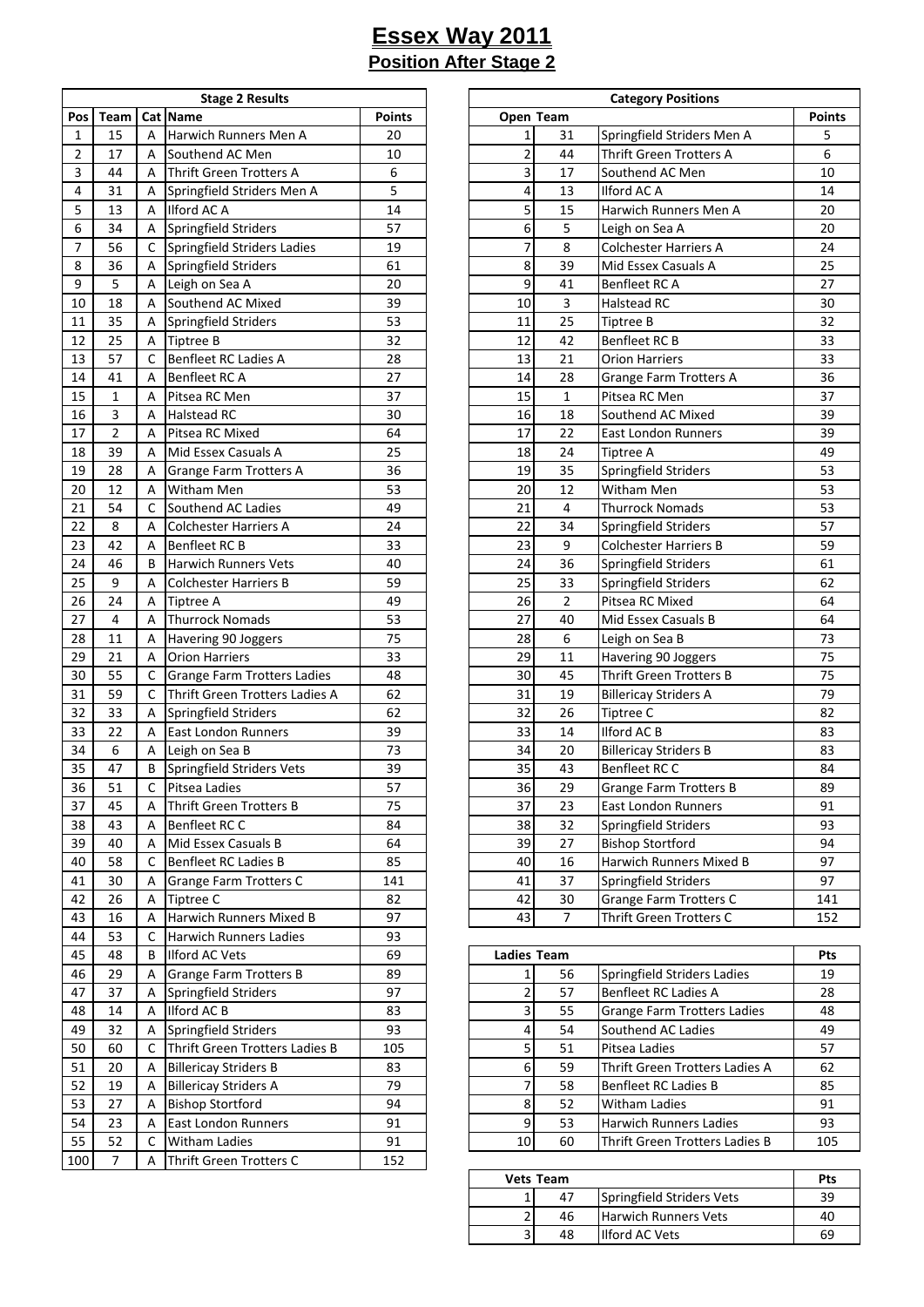|              | <b>Stage 2 Results</b> |   |                                    |               |  |  |  |  |  |  |  |
|--------------|------------------------|---|------------------------------------|---------------|--|--|--|--|--|--|--|
| Pos          | Team                   |   | <b>Cat Name</b>                    | <b>Points</b> |  |  |  |  |  |  |  |
| $\mathbf{1}$ | 15                     | А | Harwich Runners Men A              | 20            |  |  |  |  |  |  |  |
| 2            | 17                     | А | Southend AC Men                    | 10            |  |  |  |  |  |  |  |
| 3            | 44                     | А | Thrift Green Trotters A            | 6             |  |  |  |  |  |  |  |
| 4            | 31                     | А | Springfield Striders Men A         | 5             |  |  |  |  |  |  |  |
| 5            | 13                     | А | Ilford AC A                        | 14            |  |  |  |  |  |  |  |
| 6            | 34                     | Α | Springfield Striders               | 57            |  |  |  |  |  |  |  |
| 7            | 56                     | С | Springfield Striders Ladies        | 19            |  |  |  |  |  |  |  |
| 8            | 36                     | Α | Springfield Striders               | 61            |  |  |  |  |  |  |  |
| 9            | 5                      | Α | Leigh on Sea A                     | 20            |  |  |  |  |  |  |  |
| 10           | 18                     | А | Southend AC Mixed                  | 39            |  |  |  |  |  |  |  |
| 11           | 35                     | Α | Springfield Striders               | 53            |  |  |  |  |  |  |  |
| 12           | 25                     | Α | Tiptree B                          | 32            |  |  |  |  |  |  |  |
| 13           | 57                     | C | Benfleet RC Ladies A               | 28            |  |  |  |  |  |  |  |
| 14           | 41                     | А | Benfleet RC A                      | 27            |  |  |  |  |  |  |  |
| 15           | 1                      | А | Pitsea RC Men                      | 37            |  |  |  |  |  |  |  |
| 16           | 3                      | А | Halstead RC                        | 30            |  |  |  |  |  |  |  |
| 17           | $\overline{2}$         | А | Pitsea RC Mixed                    | 64            |  |  |  |  |  |  |  |
| 18           | 39                     | А | Mid Essex Casuals A                | 25            |  |  |  |  |  |  |  |
| 19           | 28                     | Α | Grange Farm Trotters A             | 36            |  |  |  |  |  |  |  |
| 20           | 12                     | А | Witham Men                         | 53            |  |  |  |  |  |  |  |
| 21           | 54                     | C | Southend AC Ladies                 | 49            |  |  |  |  |  |  |  |
| 22           | 8                      | А | <b>Colchester Harriers A</b>       | 24            |  |  |  |  |  |  |  |
| 23           | 42                     | А | Benfleet RC B                      | 33            |  |  |  |  |  |  |  |
| 24           | 46                     | В | Harwich Runners Vets               | 40            |  |  |  |  |  |  |  |
| 25           | 9                      | А | <b>Colchester Harriers B</b>       | 59            |  |  |  |  |  |  |  |
| 26           | 24                     | Α | Tiptree A                          | 49            |  |  |  |  |  |  |  |
| 27           | 4                      | А | <b>Thurrock Nomads</b>             | 53            |  |  |  |  |  |  |  |
| 28           | 11                     | Α | Havering 90 Joggers                | 75            |  |  |  |  |  |  |  |
| 29           | 21                     | А | Orion Harriers                     | 33            |  |  |  |  |  |  |  |
| 30           | 55                     | С | <b>Grange Farm Trotters Ladies</b> | 48            |  |  |  |  |  |  |  |
| 31           | 59                     | С | Thrift Green Trotters Ladies A     | 62            |  |  |  |  |  |  |  |
| 32           | 33                     | Α | Springfield Striders               | 62            |  |  |  |  |  |  |  |
| 33           | 22                     | Α | <b>East London Runners</b>         | 39            |  |  |  |  |  |  |  |
| 34           | 6                      | Α | Leigh on Sea B                     | 73            |  |  |  |  |  |  |  |
| 35           | 47                     | B | Springfield Striders Vets          | 39            |  |  |  |  |  |  |  |
| 36           | 51                     | С | Pitsea Ladies                      | 57            |  |  |  |  |  |  |  |
| 37           | 45                     | Α | Thrift Green Trotters B            | 75            |  |  |  |  |  |  |  |
| 38           | 43                     | А | Benfleet RC C                      | 84            |  |  |  |  |  |  |  |
| 39           | 40                     | Α | Mid Essex Casuals B                | 64            |  |  |  |  |  |  |  |
| 40           | 58                     | с | Benfleet RC Ladies B               | 85            |  |  |  |  |  |  |  |
| 41           | 30                     | А | Grange Farm Trotters C             | 141           |  |  |  |  |  |  |  |
| 42           | 26                     | А | <b>Tiptree C</b>                   | 82            |  |  |  |  |  |  |  |
| 43           | 16                     | Α | Harwich Runners Mixed B            | 97            |  |  |  |  |  |  |  |
| 44           | 53                     | с | Harwich Runners Ladies             | 93            |  |  |  |  |  |  |  |
| 45           | 48                     | В | <b>Ilford AC Vets</b>              | 69            |  |  |  |  |  |  |  |
| 46           | 29                     | А | <b>Grange Farm Trotters B</b>      | 89            |  |  |  |  |  |  |  |
| 47           | 37                     | А | Springfield Striders               | 97            |  |  |  |  |  |  |  |
| 48           | 14                     | Α | Ilford AC B                        | 83            |  |  |  |  |  |  |  |
| 49           | 32                     | А | Springfield Striders               | 93            |  |  |  |  |  |  |  |
| 50           | 60                     | С | Thrift Green Trotters Ladies B     | 105           |  |  |  |  |  |  |  |
| 51           | 20                     | А | <b>Billericay Striders B</b>       | 83            |  |  |  |  |  |  |  |
| 52           | 19                     | А | <b>Billericay Striders A</b>       | 79            |  |  |  |  |  |  |  |
| 53           | 27                     | Α | <b>Bishop Stortford</b>            | 94            |  |  |  |  |  |  |  |
| 54           | 23                     | Α | <b>East London Runners</b>         | 91            |  |  |  |  |  |  |  |
| 55           | 52                     | С | <b>Witham Ladies</b>               | 91            |  |  |  |  |  |  |  |
| 100          | 7                      | А | Thrift Green Trotters C            | 152           |  |  |  |  |  |  |  |

|                |                |             | <b>Stage 2 Results</b>             |               | <b>Category Positions</b> |                |                                |               |  |  |  |
|----------------|----------------|-------------|------------------------------------|---------------|---------------------------|----------------|--------------------------------|---------------|--|--|--|
| Pos            | Team           |             | Cat Name                           | <b>Points</b> | Open Team                 |                |                                | <b>Points</b> |  |  |  |
| $\mathbf{1}$   | 15             | A           | Harwich Runners Men A              | 20            | $\mathbf{1}$              | 31             | Springfield Striders Men A     | 5             |  |  |  |
| 2              | 17             | A           | Southend AC Men                    | 10            | $\overline{\mathbf{c}}$   | 44             | <b>Thrift Green Trotters A</b> | 6             |  |  |  |
| 3              | 44             | A           | Thrift Green Trotters A            | 6             | 3                         | 17             | Southend AC Men                | 10            |  |  |  |
| 4              | 31             | Α           | Springfield Striders Men A         | 5             | 4                         | 13             | Ilford AC A                    | 14            |  |  |  |
| 5              | 13             | A           | Ilford AC A                        | 14            | 5                         | 15             | Harwich Runners Men A          | 20            |  |  |  |
| 6              | 34             | Α           | Springfield Striders               | 57            | 6                         | 5              | Leigh on Sea A                 | 20            |  |  |  |
| $\overline{7}$ | 56             | C           | Springfield Striders Ladies        | 19            | 7                         | 8              | Colchester Harriers A          | 24            |  |  |  |
| 8              | 36             | Α           | Springfield Striders               | 61            | 8                         | 39             | Mid Essex Casuals A            | 25            |  |  |  |
| 9              | 5              | Α           | Leigh on Sea A                     | 20            | 9                         | 41             | Benfleet RC A                  | 27            |  |  |  |
| 10             | 18             | A           | Southend AC Mixed                  | 39            | 10                        | 3              | <b>Halstead RC</b>             | 30            |  |  |  |
| 11             | 35             | Α           | Springfield Striders               | 53            | 11                        | 25             | <b>Tiptree B</b>               | 32            |  |  |  |
| 12             | 25             | Α           | <b>Tiptree B</b>                   | 32            | 12                        | 42             | Benfleet RC B                  | 33            |  |  |  |
| 13             | 57             | C           | Benfleet RC Ladies A               | 28            | 13                        | 21             | <b>Orion Harriers</b>          | 33            |  |  |  |
| 14             | 41             | A           | Benfleet RC A                      | 27            | 14                        | 28             | Grange Farm Trotters A         | 36            |  |  |  |
| 15             | $\mathbf{1}$   | Α           | Pitsea RC Men                      | 37            | 15                        | $\mathbf{1}$   | Pitsea RC Men                  | 37            |  |  |  |
| 16             | 3              | Α           | <b>Halstead RC</b>                 | 30            | 16                        | 18             | Southend AC Mixed              | 39            |  |  |  |
| 17             | $\overline{2}$ | Α           | Pitsea RC Mixed                    | 64            | 17                        | 22             | <b>East London Runners</b>     | 39            |  |  |  |
| 18             | 39             | Α           | Mid Essex Casuals A                | 25            | 18                        | 24             | <b>Tiptree A</b>               | 49            |  |  |  |
| 19             | 28             | Α           | Grange Farm Trotters A             | 36            | 19                        | 35             | Springfield Striders           | 53            |  |  |  |
| 20             | 12             | Α           | <b>Witham Men</b>                  | 53            | 20                        | 12             | Witham Men                     | 53            |  |  |  |
| 21             | 54             | C           | Southend AC Ladies                 | 49            | 21                        | 4              | <b>Thurrock Nomads</b>         | 53            |  |  |  |
| 22             | 8              | Α           | <b>Colchester Harriers A</b>       | 24            | 22                        | 34             | Springfield Striders           | 57            |  |  |  |
| 23             | 42             | Α           | <b>Benfleet RC B</b>               | 33            | 23                        | 9              | <b>Colchester Harriers B</b>   | 59            |  |  |  |
| 24             | 46             | B           | <b>Harwich Runners Vets</b>        | 40            | 24                        | 36             | Springfield Striders           | 61            |  |  |  |
| 25             | 9              | A           | <b>Colchester Harriers B</b>       | 59            | 25                        | 33             | Springfield Striders           | 62            |  |  |  |
| 26             | 24             | Α           | <b>Tiptree A</b>                   | 49            | 26                        | $\overline{2}$ | Pitsea RC Mixed                | 64            |  |  |  |
| 27             | 4              | Α           | <b>Thurrock Nomads</b>             | 53            | 27                        | 40             | Mid Essex Casuals B            | 64            |  |  |  |
| 28             | 11             | Α           | Havering 90 Joggers                | 75            | 28                        | 6              | Leigh on Sea B                 | 73            |  |  |  |
| 29             | 21             | Α           | <b>Orion Harriers</b>              | 33            | 29                        | 11             | Havering 90 Joggers            | 75            |  |  |  |
| 30             | 55             | С           | <b>Grange Farm Trotters Ladies</b> | 48            | 30                        | 45             | <b>Thrift Green Trotters B</b> | 75            |  |  |  |
| 31             | 59             | C           | Thrift Green Trotters Ladies A     | 62            | 31                        | 19             | <b>Billericay Striders A</b>   | 79            |  |  |  |
| 32             | 33             | Α           | Springfield Striders               | 62            | 32                        | 26             | <b>Tiptree C</b>               | 82            |  |  |  |
| 33             | 22             | Α           | <b>East London Runners</b>         | 39            | 33                        | 14             | Ilford AC B                    | 83            |  |  |  |
| 34             | 6              | Α           | Leigh on Sea B                     | 73            | 34                        | 20             | <b>Billericay Striders B</b>   | 83            |  |  |  |
| 35             | 47             | B           | Springfield Striders Vets          | 39            | 35                        | 43             | Benfleet RCC                   | 84            |  |  |  |
| 36             | 51             | $\mathsf C$ | Pitsea Ladies                      | 57            | 36                        | 29             | <b>Grange Farm Trotters B</b>  | 89            |  |  |  |
| 37             | 45             | A           | Thrift Green Trotters B            | 75            | 37                        | 23             | East London Runners            | 91            |  |  |  |
| $38\,$         | 43             | Α           | Benfleet RCC                       | 84            | 38                        | 32             | Springfield Striders           | 93            |  |  |  |
| 39             | 40             | Α           | Mid Essex Casuals B                | 64            | 39                        | 27             | <b>Bishop Stortford</b>        | 94            |  |  |  |
| 40             | 58             | С           | <b>Benfleet RC Ladies B</b>        | 85            | 40                        | 16             | Harwich Runners Mixed B        | 97            |  |  |  |
| 41             | 30             | A           | <b>Grange Farm Trotters C</b>      | 141           | 41                        | 37             | Springfield Striders           | 97            |  |  |  |
| 42             | 26             | Α           | Tiptree C                          | 82            | 42                        | 30             | <b>Grange Farm Trotters C</b>  | 141           |  |  |  |
| 43             | 16             | A           | Harwich Runners Mixed B            | 97            | 43                        | $\overline{7}$ | Thrift Green Trotters C        | 152           |  |  |  |
| $\overline{a}$ |                |             |                                    | $\sim$        |                           |                |                                |               |  |  |  |

| 45   | 48 | B | <b>Ilford AC Vets</b>          | 69  | <b>Ladies Team</b> |    |                                    | <b>Pts</b> |
|------|----|---|--------------------------------|-----|--------------------|----|------------------------------------|------------|
| 46   | 29 | А | <b>Grange Farm Trotters B</b>  | 89  |                    | 56 | Springfield Striders Ladies        | 19         |
| 47   | 37 | A | Springfield Striders           | 97  |                    | 57 | <b>Benfleet RC Ladies A</b>        | 28         |
| 48   | 14 | А | Ilford AC B                    | 83  |                    | 55 | <b>Grange Farm Trotters Ladies</b> | 48         |
| 49   | 32 | Α | Springfield Striders           | 93  |                    | 54 | Southend AC Ladies                 | 49         |
| 50   | 60 |   | Thrift Green Trotters Ladies B | 105 |                    | 51 | Pitsea Ladies                      | 57         |
| 51   | 20 | А | <b>Billericay Striders B</b>   | 83  |                    | 59 | Thrift Green Trotters Ladies A     | 62         |
| 52   | 19 | А | <b>Billericay Striders A</b>   | 79  |                    | 58 | Benfleet RC Ladies B               | 85         |
| 53   | 27 | A | <b>Bishop Stortford</b>        | 94  |                    | 52 | <b>Witham Ladies</b>               | 91         |
| 54   | 23 | А | <b>East London Runners</b>     | 91  |                    | 53 | <b>Harwich Runners Ladies</b>      | 93         |
| 55 l | 52 |   | <b>Witham Ladies</b>           | 91  | 10                 | 60 | Thrift Green Trotters Ladies B     | 105        |

| <b>Vets Team</b> | Pts |                             |    |
|------------------|-----|-----------------------------|----|
|                  | 47  | Springfield Striders Vets   | 39 |
|                  | 46  | <b>Harwich Runners Vets</b> | 40 |
|                  | 48  | <b>Ilford AC Vets</b>       | 69 |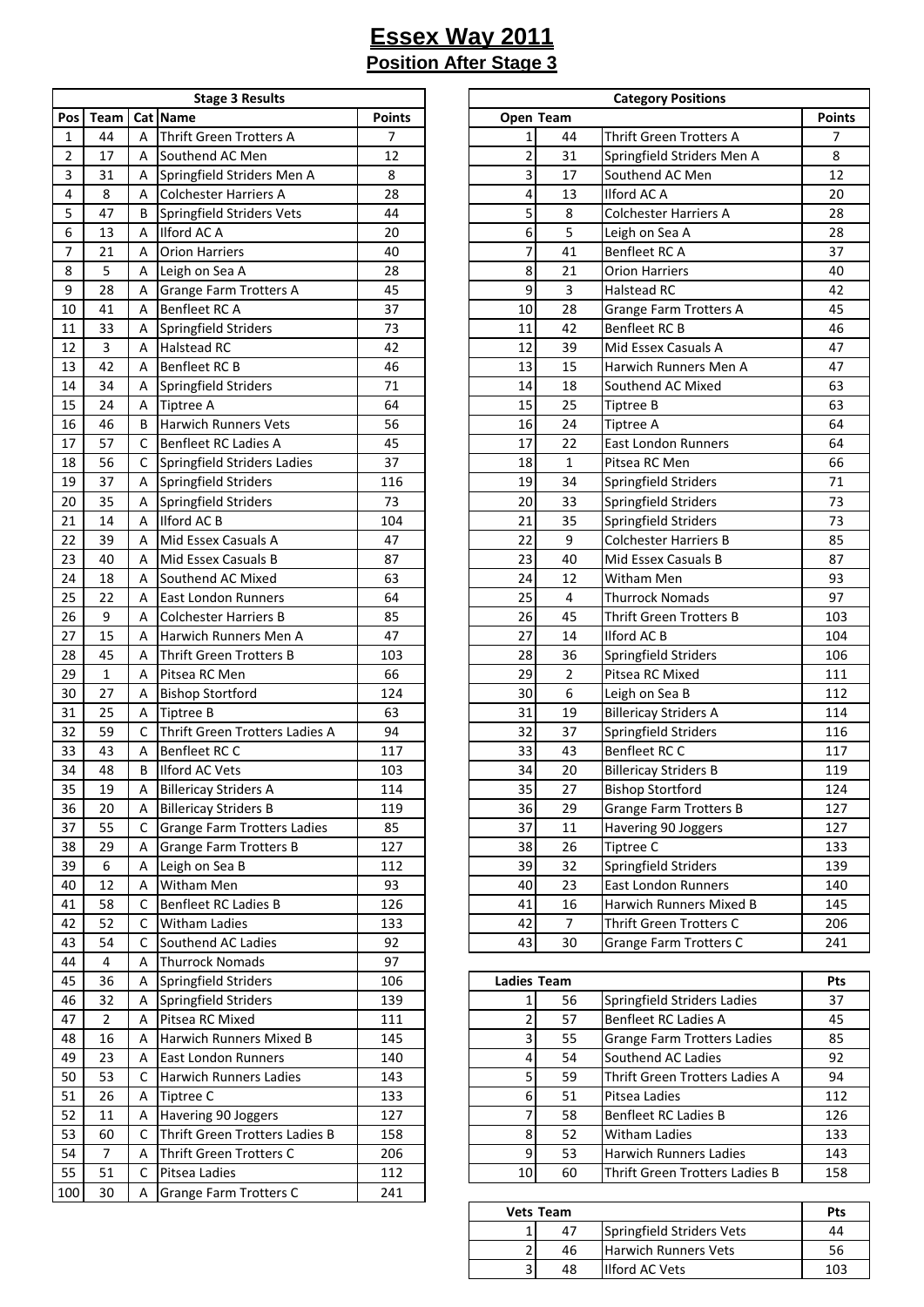|     | <b>Stage 3 Results</b> |   |                                    |               |  |  |  |  |  |  |  |
|-----|------------------------|---|------------------------------------|---------------|--|--|--|--|--|--|--|
| Pos | Team                   |   | Cat Name                           | <b>Points</b> |  |  |  |  |  |  |  |
| 1   | 44                     | А | <b>Thrift Green Trotters A</b>     | 7             |  |  |  |  |  |  |  |
| 2   | 17                     | А | Southend AC Men                    | 12            |  |  |  |  |  |  |  |
| 3   | 31                     | А | Springfield Striders Men A         | 8             |  |  |  |  |  |  |  |
| 4   | 8                      | А | Colchester Harriers A              | 28            |  |  |  |  |  |  |  |
| 5   | 47                     | В | Springfield Striders Vets          | 44            |  |  |  |  |  |  |  |
| 6   | 13                     | А | Ilford AC A                        | 20            |  |  |  |  |  |  |  |
| 7   | 21                     | А | <b>Orion Harriers</b>              | 40            |  |  |  |  |  |  |  |
| 8   | 5                      | А | Leigh on Sea A                     | 28            |  |  |  |  |  |  |  |
| 9   | 28                     | Α | Grange Farm Trotters A             | 45            |  |  |  |  |  |  |  |
| 10  | 41                     | Α | Benfleet RC A                      | 37            |  |  |  |  |  |  |  |
| 11  | 33                     | Α | Springfield Striders               | 73            |  |  |  |  |  |  |  |
| 12  | 3                      | А | <b>Halstead RC</b>                 | 42            |  |  |  |  |  |  |  |
| 13  | 42                     | А | Benfleet RC B                      | 46            |  |  |  |  |  |  |  |
| 14  | 34                     | А | Springfield Striders               | 71            |  |  |  |  |  |  |  |
| 15  | 24                     | А | Tiptree A                          | 64            |  |  |  |  |  |  |  |
| 16  | 46                     | В | Harwich Runners Vets               | 56            |  |  |  |  |  |  |  |
| 17  | 57                     | С | Benfleet RC Ladies A               | 45            |  |  |  |  |  |  |  |
| 18  | 56                     | С | Springfield Striders Ladies        | 37            |  |  |  |  |  |  |  |
| 19  | 37                     | Α | Springfield Striders               | 116           |  |  |  |  |  |  |  |
| 20  | 35                     | Α | Springfield Striders               | 73            |  |  |  |  |  |  |  |
| 21  | 14                     | А | Ilford AC B                        | 104           |  |  |  |  |  |  |  |
| 22  | 39                     | А | Mid Essex Casuals A                | 47            |  |  |  |  |  |  |  |
| 23  | 40                     | А | Mid Essex Casuals B                | 87            |  |  |  |  |  |  |  |
| 24  | 18                     | А | Southend AC Mixed                  | 63            |  |  |  |  |  |  |  |
| 25  | 22                     | А | East London Runners                | 64            |  |  |  |  |  |  |  |
| 26  | 9                      | Α | <b>Colchester Harriers B</b>       | 85            |  |  |  |  |  |  |  |
| 27  | 15                     | А | Harwich Runners Men A              | 47            |  |  |  |  |  |  |  |
| 28  | 45                     | А | Thrift Green Trotters B            | 103           |  |  |  |  |  |  |  |
| 29  | $\mathbf{1}$           | А | Pitsea RC Men                      | 66            |  |  |  |  |  |  |  |
| 30  | 27                     | А | <b>Bishop Stortford</b>            | 124           |  |  |  |  |  |  |  |
| 31  | 25                     | Α | <b>Tiptree B</b>                   | 63            |  |  |  |  |  |  |  |
| 32  | 59                     | С | Thrift Green Trotters Ladies A     | 94            |  |  |  |  |  |  |  |
| 33  | 43                     | Α | Benfleet RC C                      | 117           |  |  |  |  |  |  |  |
| 34  | 48                     | В | Ilford AC Vets                     | 103           |  |  |  |  |  |  |  |
| 35  | 19                     | Α | <b>Billericay Striders A</b>       | 114           |  |  |  |  |  |  |  |
| 36  | 20                     | А | <b>Billericay Striders B</b>       | 119           |  |  |  |  |  |  |  |
| 37  | 55                     | C | <b>Grange Farm Trotters Ladies</b> | 85            |  |  |  |  |  |  |  |
| 38  | 29                     | Α | <b>Grange Farm Trotters B</b>      | 127           |  |  |  |  |  |  |  |
| 39  | 6                      | Α | Leigh on Sea B                     | 112           |  |  |  |  |  |  |  |
| 40  | 12                     | Α | Witham Men                         | 93            |  |  |  |  |  |  |  |
| 41  | 58                     | С | Benfleet RC Ladies B               | 126           |  |  |  |  |  |  |  |
| 42  | 52                     | С | Witham Ladies                      | 133           |  |  |  |  |  |  |  |
| 43  | 54                     | C | Southend AC Ladies                 | 92            |  |  |  |  |  |  |  |
| 44  | 4                      | Α | <b>Thurrock Nomads</b>             | 97            |  |  |  |  |  |  |  |
| 45  | 36                     | Α | Springfield Striders               | 106           |  |  |  |  |  |  |  |
| 46  | 32                     | Α | Springfield Striders               | 139           |  |  |  |  |  |  |  |
| 47  | 2                      | Α | Pitsea RC Mixed                    | 111           |  |  |  |  |  |  |  |
| 48  | 16                     | Α | Harwich Runners Mixed B            | 145           |  |  |  |  |  |  |  |
| 49  | 23                     | А | East London Runners                | 140           |  |  |  |  |  |  |  |
| 50  | 53                     | С | Harwich Runners Ladies             | 143           |  |  |  |  |  |  |  |
| 51  | 26                     | Α | Tiptree C                          | 133           |  |  |  |  |  |  |  |
| 52  | 11                     | Α | Havering 90 Joggers                | 127           |  |  |  |  |  |  |  |
| 53  | 60                     | С | Thrift Green Trotters Ladies B     | 158           |  |  |  |  |  |  |  |
| 54  | $\overline{7}$         | Α | Thrift Green Trotters C            | 206           |  |  |  |  |  |  |  |
| 55  | 51                     | C | Pitsea Ladies                      | 112           |  |  |  |  |  |  |  |
| 100 | 30                     | Α | Grange Farm Trotters C             | 241           |  |  |  |  |  |  |  |
|     |                        |   |                                    |               |  |  |  |  |  |  |  |

|                 |                |   | <b>Stage 3 Results</b>             |                | <b>Category Positions</b> |                |                               |               |  |  |
|-----------------|----------------|---|------------------------------------|----------------|---------------------------|----------------|-------------------------------|---------------|--|--|
| Pos             | <b>Team</b>    |   | Cat Name                           | <b>Points</b>  | Open Team                 |                |                               | <b>Points</b> |  |  |
| $\mathbf{1}$    | 44             | A | Thrift Green Trotters A            | $\overline{7}$ | $\mathbf{1}$              | 44             | Thrift Green Trotters A       | 7             |  |  |
| $\overline{2}$  | 17             | A | Southend AC Men                    | 12             | $\overline{\mathbf{c}}$   | 31             | Springfield Striders Men A    | 8             |  |  |
| 3               | 31             | Α | Springfield Striders Men A         | 8              | $\overline{3}$            | 17             | Southend AC Men               | 12            |  |  |
| 4               | 8              | A | <b>Colchester Harriers A</b>       | 28             | 4                         | 13             | Ilford AC A                   | 20            |  |  |
| 5               | 47             | B | Springfield Striders Vets          | 44             | 5                         | 8              | <b>Colchester Harriers A</b>  | 28            |  |  |
| 6               | 13             | A | Ilford AC A                        | 20             | 6                         | 5              | Leigh on Sea A                | 28            |  |  |
| 7               | 21             | A | <b>Orion Harriers</b>              | 40             | 7                         | 41             | Benfleet RC A                 | 37            |  |  |
| 8               | 5              | Α | Leigh on Sea A                     | 28             | 8                         | 21             | <b>Orion Harriers</b>         | 40            |  |  |
| 9               | 28             | Α | <b>Grange Farm Trotters A</b>      | 45             | 9                         | 3              | <b>Halstead RC</b>            | 42            |  |  |
| 10              | 41             | A | Benfleet RC A                      | 37             | 10                        | 28             | <b>Grange Farm Trotters A</b> | 45            |  |  |
| 11              | 33             | Α | Springfield Striders               | 73             | 11                        | 42             | Benfleet RC B                 | 46            |  |  |
| 12              | $\overline{3}$ | A | <b>Halstead RC</b>                 | 42             | 12                        | 39             | Mid Essex Casuals A           | 47            |  |  |
| 13              | 42             | A | <b>Benfleet RC B</b>               | 46             | 13                        | 15             | Harwich Runners Men A         | 47            |  |  |
| 14              | 34             | A | Springfield Striders               | 71             | 14                        | 18             | Southend AC Mixed             | 63            |  |  |
| 15              | 24             | A | <b>Tiptree A</b>                   | 64             | 15                        | 25             | Tiptree B                     | 63            |  |  |
| 16              | 46             | B | <b>Harwich Runners Vets</b>        | 56             | 16                        | 24             | Tiptree A                     | 64            |  |  |
| 17              | 57             | C | Benfleet RC Ladies A               | 45             | 17                        | 22             | <b>East London Runners</b>    | 64            |  |  |
| 18              | 56             | C | Springfield Striders Ladies        | 37             | 18                        | $\mathbf{1}$   | Pitsea RC Men                 | 66            |  |  |
| 19              | 37             | Α | Springfield Striders               | 116            | 19                        | 34             | Springfield Striders          | 71            |  |  |
| 20              | 35             | Α | Springfield Striders               | 73             | 20                        | 33             | Springfield Striders          | 73            |  |  |
| 21              | 14             | A | Ilford AC B                        | 104            | 21                        | 35             | Springfield Striders          | 73            |  |  |
| 22              | 39             | A | Mid Essex Casuals A                | 47             | 22                        | 9              | <b>Colchester Harriers B</b>  | 85            |  |  |
| 23              | 40             | A | Mid Essex Casuals B                | 87             | 23                        | 40             | Mid Essex Casuals B           | 87            |  |  |
| 24              | 18             | A | Southend AC Mixed                  | 63             | 24                        | 12             | Witham Men                    | 93            |  |  |
| 25              | 22             | Α | <b>East London Runners</b>         | 64             | 25                        | 4              | <b>Thurrock Nomads</b>        | 97            |  |  |
| 26              | 9              | Α | <b>Colchester Harriers B</b>       | 85             | 26                        | 45             | Thrift Green Trotters B       | 103           |  |  |
| 27              | 15             | A | Harwich Runners Men A              | 47             | 27                        | 14             | <b>Ilford AC B</b>            | 104           |  |  |
| 28              | 45             | A | Thrift Green Trotters B            | 103            | 28                        | 36             | Springfield Striders          | 106           |  |  |
| 29              | $\mathbf{1}$   | Α | Pitsea RC Men                      | 66             | 29                        | $\overline{2}$ | Pitsea RC Mixed               | 111           |  |  |
| 30              | 27             | Α | <b>Bishop Stortford</b>            | 124            | 30                        | 6              | Leigh on Sea B                | 112           |  |  |
| 31              | 25             | A | <b>Tiptree B</b>                   | 63             | 31                        | 19             | <b>Billericay Striders A</b>  | 114           |  |  |
| 32              | 59             | C | Thrift Green Trotters Ladies A     | 94             | 32                        | 37             | Springfield Striders          | 116           |  |  |
| 33              | 43             | A | Benfleet RC C                      | 117            | 33                        | 43             | Benfleet RC C                 | 117           |  |  |
| 34              | 48             | B | <b>Ilford AC Vets</b>              | 103            | 34                        | 20             | <b>Billericay Striders B</b>  | 119           |  |  |
| $\overline{35}$ | 19             | Α | <b>Billericay Striders A</b>       | 114            | 35                        | 27             | <b>Bishop Stortford</b>       | 124           |  |  |
| 36              | 20             | Α | <b>Billericay Striders B</b>       | 119            | 36                        | 29             | <b>Grange Farm Trotters B</b> | 127           |  |  |
| 37              | 55             | C | <b>Grange Farm Trotters Ladies</b> | 85             | 37                        | 11             | Havering 90 Joggers           | 127           |  |  |
| 38              | 29             | A | <b>Grange Farm Trotters B</b>      | 127            | 38                        | 26             | Tiptree C                     | 133           |  |  |
| 39              | 6              | A | Leigh on Sea B                     | 112            | 39                        | 32             | Springfield Striders          | 139           |  |  |
| 40              | 12             | Α | Witham Men                         | 93             | 40                        | 23             | East London Runners           | 140           |  |  |
| 41              | 58             | C | Benfleet RC Ladies B               | 126            | 41                        | 16             | Harwich Runners Mixed B       | 145           |  |  |
| 42              | 52             | C | Witham Ladies                      | 133            | 42                        | $\overline{7}$ | Thrift Green Trotters C       | 206           |  |  |
| 43              | 54             | C | Southend AC Ladies                 | 92             | 43                        | 30             | <b>Grange Farm Trotters C</b> | 241           |  |  |

| 45 | 36 | Α | Springfield Striders           | 106 |    | <b>Ladies Team</b> |                                    |     |
|----|----|---|--------------------------------|-----|----|--------------------|------------------------------------|-----|
| 46 | 32 |   | Springfield Striders           | 139 |    | 56                 | Springfield Striders Ladies        | 37  |
| 47 |    | A | Pitsea RC Mixed                | 111 |    | 57                 | Benfleet RC Ladies A               | 45  |
| 48 | 16 | А | Harwich Runners Mixed B        | 145 |    | 55                 | <b>Grange Farm Trotters Ladies</b> | 85  |
| 49 | 23 | А | <b>East London Runners</b>     | 140 |    | 54                 | Southend AC Ladies                 | 92  |
| 50 | 53 |   | Harwich Runners Ladies         | 143 |    | 59                 | Thrift Green Trotters Ladies A     | 94  |
| 51 | 26 | A | Tiptree C                      | 133 |    | 51                 | Pitsea Ladies                      | 112 |
| 52 | 11 | Α | Havering 90 Joggers            | 127 |    | 58                 | Benfleet RC Ladies B               | 126 |
| 53 | 60 |   | Thrift Green Trotters Ladies B | 158 |    | 52                 | <b>Witham Ladies</b>               | 133 |
| 54 |    | А | Thrift Green Trotters C        | 206 |    | 53                 | Harwich Runners Ladies             | 143 |
| 55 | 51 |   | Pitsea Ladies                  | 112 | 10 | 60                 | Thrift Green Trotters Ladies B     | 158 |
|    |    |   |                                |     |    |                    |                                    |     |

| <b>Vets Team</b> | Pts |                             |     |
|------------------|-----|-----------------------------|-----|
|                  | 47  | Springfield Striders Vets   | 44  |
|                  | 46  | <b>Harwich Runners Vets</b> | 56  |
| ∽                | 48  | <b>Ilford AC Vets</b>       | 103 |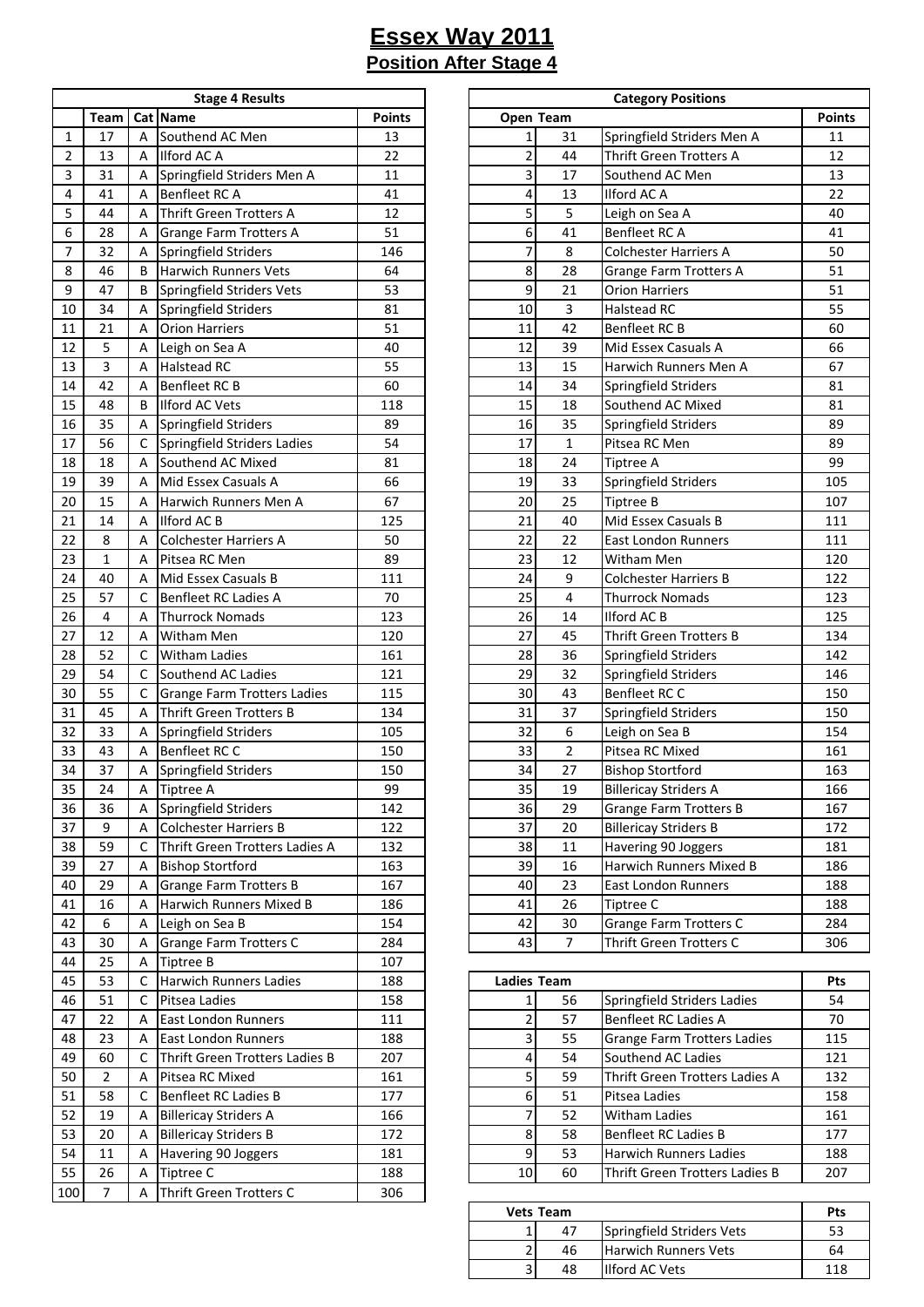|     | <b>Stage 4 Results</b> |                           |                                |        |  |  |  |  |  |  |
|-----|------------------------|---------------------------|--------------------------------|--------|--|--|--|--|--|--|
|     | Team                   |                           | Cat Name                       | Points |  |  |  |  |  |  |
| 1   | 17                     | А                         | Southend AC Men                | 13     |  |  |  |  |  |  |
| 2   | 13                     | А                         | Ilford AC A                    | 22     |  |  |  |  |  |  |
| 3   | 31                     | А                         | Springfield Striders Men A     | 11     |  |  |  |  |  |  |
| 4   | 41                     | А                         | Benfleet RC A                  | 41     |  |  |  |  |  |  |
| 5   | 44                     | А                         | Thrift Green Trotters A        | 12     |  |  |  |  |  |  |
| 6   | 28                     | А                         | Grange Farm Trotters A         | 51     |  |  |  |  |  |  |
| 7   | 32                     | А                         | Springfield Striders           | 146    |  |  |  |  |  |  |
| 8   | 46                     | В                         | <b>Harwich Runners Vets</b>    | 64     |  |  |  |  |  |  |
| 9   | 47                     | В                         | Springfield Striders Vets      | 53     |  |  |  |  |  |  |
| 10  | 34                     | А                         | Springfield Striders           | 81     |  |  |  |  |  |  |
| 11  | 21                     | А                         | <b>Orion Harriers</b>          | 51     |  |  |  |  |  |  |
| 12  | 5                      | А                         | Leigh on Sea A                 | 40     |  |  |  |  |  |  |
| 13  | 3                      | Α                         | <b>Halstead RC</b>             | 55     |  |  |  |  |  |  |
| 14  | 42                     | А                         | Benfleet RC B                  | 60     |  |  |  |  |  |  |
| 15  | 48                     | В                         | Ilford AC Vets                 | 118    |  |  |  |  |  |  |
| 16  | 35                     | А                         | Springfield Striders           | 89     |  |  |  |  |  |  |
| 17  | 56                     | C                         | Springfield Striders Ladies    | 54     |  |  |  |  |  |  |
| 18  | 18                     | А                         | Southend AC Mixed              | 81     |  |  |  |  |  |  |
| 19  | 39                     | А                         | Mid Essex Casuals A            | 66     |  |  |  |  |  |  |
| 20  | 15                     | Α                         | Harwich Runners Men A          | 67     |  |  |  |  |  |  |
| 21  | 14                     | Α                         | Ilford AC B                    | 125    |  |  |  |  |  |  |
| 22  | 8                      | А                         | Colchester Harriers A          | 50     |  |  |  |  |  |  |
| 23  | $\mathbf{1}$           | А                         | Pitsea RC Men                  | 89     |  |  |  |  |  |  |
| 24  | 40                     | Α                         | Mid Essex Casuals B            | 111    |  |  |  |  |  |  |
| 25  | 57                     | С                         | Benfleet RC Ladies A           | 70     |  |  |  |  |  |  |
| 26  | 4                      | Α                         | Thurrock Nomads                | 123    |  |  |  |  |  |  |
| 27  | 12                     | А                         | Witham Men                     | 120    |  |  |  |  |  |  |
| 28  | 52                     | C                         | <b>Witham Ladies</b>           | 161    |  |  |  |  |  |  |
| 29  | 54                     | C                         | Southend AC Ladies             | 121    |  |  |  |  |  |  |
| 30  | 55                     | С                         | Grange Farm Trotters Ladies    | 115    |  |  |  |  |  |  |
| 31  | 45                     | А                         | <b>Thrift Green Trotters B</b> | 134    |  |  |  |  |  |  |
| 32  | 33                     | А                         | Springfield Striders           | 105    |  |  |  |  |  |  |
| 33  | 43                     | А                         | Benfleet RC C                  | 150    |  |  |  |  |  |  |
| 34  | 37                     | А                         | Springfield Striders           | 150    |  |  |  |  |  |  |
| 35  | 24                     | А                         | Tiptree A                      | 99     |  |  |  |  |  |  |
| 36  | 36                     | Α                         | Springfield Striders           | 142    |  |  |  |  |  |  |
| 37  | 9                      | А                         | Colchester Harriers B          | 122    |  |  |  |  |  |  |
| 38  | 59                     | С                         | Thrift Green Trotters Ladies A | 132    |  |  |  |  |  |  |
| 39  | 27                     | А                         | <b>Bishop Stortford</b>        | 163    |  |  |  |  |  |  |
| 40  | 29                     | А                         | <b>Grange Farm Trotters B</b>  | 167    |  |  |  |  |  |  |
| 41  | 16                     | А                         | Harwich Runners Mixed B        | 186    |  |  |  |  |  |  |
| 42  | 6                      | А                         | Leigh on Sea B                 | 154    |  |  |  |  |  |  |
| 43  | 30                     | А                         | Grange Farm Trotters C         | 284    |  |  |  |  |  |  |
| 44  | 25                     | А                         | Tiptree B                      | 107    |  |  |  |  |  |  |
| 45  | 53                     | С                         | <b>Harwich Runners Ladies</b>  | 188    |  |  |  |  |  |  |
| 46  | 51                     | С                         | Pitsea Ladies                  | 158    |  |  |  |  |  |  |
| 47  | 22                     | Α                         | East London Runners            | 111    |  |  |  |  |  |  |
| 48  | 23                     | А                         | East London Runners            | 188    |  |  |  |  |  |  |
| 49  | 60                     | С                         | Thrift Green Trotters Ladies B | 207    |  |  |  |  |  |  |
| 50  | $\overline{2}$         | А                         | Pitsea RC Mixed                | 161    |  |  |  |  |  |  |
| 51  | 58                     | Benfleet RC Ladies B<br>С |                                | 177    |  |  |  |  |  |  |
| 52  | 19                     | А                         | <b>Billericay Striders A</b>   | 166    |  |  |  |  |  |  |
| 53  | 20                     | Α                         | <b>Billericay Striders B</b>   | 172    |  |  |  |  |  |  |
| 54  | 11                     | Α                         | Havering 90 Joggers            | 181    |  |  |  |  |  |  |
| 55  | 26                     | А                         | Tiptree C                      | 188    |  |  |  |  |  |  |
| 100 | 7                      | А                         | Thrift Green Trotters C        | 306    |  |  |  |  |  |  |
|     |                        |                           |                                |        |  |  |  |  |  |  |

|                         | <b>Stage 4 Results</b> |   |                                    |               |  | <b>Category Positions</b> |                |                                |               |
|-------------------------|------------------------|---|------------------------------------|---------------|--|---------------------------|----------------|--------------------------------|---------------|
|                         | Team                   |   | Cat Name                           | <b>Points</b> |  | Open Team                 |                |                                | <b>Points</b> |
| $\mathbf{1}$            | 17                     | Α | Southend AC Men                    | 13            |  | 1                         | 31             | Springfield Striders Men A     | 11            |
| $\overline{2}$          | 13                     | Α | Ilford AC A                        | 22            |  | $\overline{\mathbf{c}}$   | 44             | Thrift Green Trotters A        | 12            |
| $\overline{\mathbf{3}}$ | 31                     | Α | Springfield Striders Men A         | 11            |  | 3                         | 17             | Southend AC Men                | 13            |
| $\overline{4}$          | 41                     | Α | Benfleet RC A                      | 41            |  | 4                         | 13             | <b>Ilford AC A</b>             | 22            |
| 5                       | 44                     | А | Thrift Green Trotters A            | 12            |  | 5                         | 5              | Leigh on Sea A                 | 40            |
| 6                       | 28                     | Α | <b>Grange Farm Trotters A</b>      | 51            |  | 6                         | 41             | Benfleet RC A                  | 41            |
| $\overline{7}$          | 32                     | A | Springfield Striders               | 146           |  | 7                         | 8              | Colchester Harriers A          | 50            |
| 8                       | 46                     | B | <b>Harwich Runners Vets</b>        | 64            |  | 8                         | 28             | <b>Grange Farm Trotters A</b>  | 51            |
| 9                       | 47                     | B | Springfield Striders Vets          | 53            |  | 9                         | 21             | <b>Orion Harriers</b>          | 51            |
| 10                      | 34                     | A | Springfield Striders               | 81            |  | 10                        | 3              | <b>Halstead RC</b>             | 55            |
| 11                      | 21                     | A | <b>Orion Harriers</b>              | 51            |  | 11                        | 42             | Benfleet RC B                  | 60            |
| 12                      | 5                      | А | Leigh on Sea A                     | 40            |  | 12                        | 39             | Mid Essex Casuals A            | 66            |
| 13                      | 3                      | Α | <b>Halstead RC</b>                 | 55            |  | 13                        | 15             | Harwich Runners Men A          | 67            |
| 14                      | 42                     | A | Benfleet RC B                      | 60            |  | 14                        | 34             | Springfield Striders           | 81            |
| 15                      | 48                     | B | <b>Ilford AC Vets</b>              | 118           |  | 15                        | 18             | Southend AC Mixed              | 81            |
| 16                      | 35                     | А | Springfield Striders               | 89            |  | 16                        | 35             | Springfield Striders           | 89            |
| 17                      | 56                     | С | Springfield Striders Ladies        | 54            |  | 17                        | $\mathbf 1$    | Pitsea RC Men                  | 89            |
| 18                      | 18                     | Α | Southend AC Mixed                  | 81            |  | 18                        | 24             | <b>Tiptree A</b>               | 99            |
| 19                      | 39                     | А | Mid Essex Casuals A                | 66            |  | 19                        | 33             | Springfield Striders           | 105           |
| 20                      | 15                     | А | Harwich Runners Men A              | 67            |  | 20                        | 25             | <b>Tiptree B</b>               | 107           |
| 21                      | 14                     | А | Ilford AC B                        | 125           |  | 21                        | 40             | Mid Essex Casuals B            | 111           |
| 22                      | 8                      | Α | Colchester Harriers A              | 50            |  | 22                        | 22             | <b>East London Runners</b>     | 111           |
| 23                      | 1                      | А | Pitsea RC Men                      | 89            |  | 23                        | 12             | Witham Men                     | 120           |
| 24                      | 40                     | Α | Mid Essex Casuals B                | 111           |  | 24                        | 9              | <b>Colchester Harriers B</b>   | 122           |
| 25                      | 57                     | C | <b>Benfleet RC Ladies A</b>        | 70            |  | 25                        | $\overline{4}$ | <b>Thurrock Nomads</b>         | 123           |
| 26                      | $\overline{4}$         | Α | <b>Thurrock Nomads</b>             | 123           |  | 26                        | 14             | <b>Ilford AC B</b>             | 125           |
| 27                      | 12                     | Α | <b>Witham Men</b>                  | 120           |  | 27                        | 45             | <b>Thrift Green Trotters B</b> | 134           |
| 28                      | 52                     | С | <b>Witham Ladies</b>               | 161           |  | 28                        | 36             | Springfield Striders           | 142           |
| 29                      | 54                     | С | Southend AC Ladies                 | 121           |  | 29                        | 32             | Springfield Striders           | 146           |
| 30                      | 55                     | С | <b>Grange Farm Trotters Ladies</b> | 115           |  | 30                        | 43             | Benfleet RC C                  | 150           |
| 31                      | 45                     | Α | <b>Thrift Green Trotters B</b>     | 134           |  | 31                        | 37             | Springfield Striders           | 150           |
| 32                      | 33                     | А | Springfield Striders               | 105           |  | 32                        | 6              | Leigh on Sea B                 | 154           |
| 33                      | 43                     | A | <b>Benfleet RC C</b>               | 150           |  | 33                        | $\overline{2}$ | Pitsea RC Mixed                | 161           |
| 34                      | 37                     | Α | Springfield Striders               | 150           |  | 34                        | 27             | <b>Bishop Stortford</b>        | 163           |
| $\overline{35}$         | 24                     | A | Tiptree A                          | 99            |  | 35                        | 19             | <b>Billericay Striders A</b>   | 166           |
| 36                      | 36                     | Α | Springfield Striders               | 142           |  | 36                        | 29             | <b>Grange Farm Trotters B</b>  | 167           |
| 37                      | 9                      | Α | <b>Colchester Harriers B</b>       | 122           |  | 37                        | 20             | <b>Billericay Striders B</b>   | 172           |
| 38                      | 59                     | С | Thrift Green Trotters Ladies A     | 132           |  | 38                        | 11             | Havering 90 Joggers            | 181           |
| 39                      | 27                     | A | <b>Bishop Stortford</b>            | 163           |  | 39                        | 16             | Harwich Runners Mixed B        | 186           |
| 40                      | 29                     | Α | <b>Grange Farm Trotters B</b>      | 167           |  | 40                        | 23             | East London Runners            | 188           |
| 41                      | 16                     | А | Harwich Runners Mixed B            | 186           |  | 41                        | 26             | Tiptree C                      | 188           |
| 42                      | 6                      | Α | Leigh on Sea B                     | 154           |  | 42                        | 30             | <b>Grange Farm Trotters C</b>  | 284           |
| 43                      | 30                     | Α | <b>Grange Farm Trotters C</b>      | 284           |  | 43                        | $\overline{7}$ | Thrift Green Trotters C        | 306           |

| 45 | 53 |   | <b>Harwich Runners Ladies</b>  | 188 |    | <b>Ladies Team</b> |                                |     |
|----|----|---|--------------------------------|-----|----|--------------------|--------------------------------|-----|
| 46 | 51 |   | Pitsea Ladies                  | 158 |    | 56                 | Springfield Striders Ladies    | 54  |
| 47 | 22 | А | East London Runners            | 111 |    | 57                 | Benfleet RC Ladies A           | 70  |
| 48 | 23 | А | <b>East London Runners</b>     | 188 |    | 55                 | Grange Farm Trotters Ladies    | 115 |
| 49 | 60 |   | Thrift Green Trotters Ladies B | 207 |    | 54                 | Southend AC Ladies             | 121 |
| 50 |    | А | Pitsea RC Mixed                | 161 |    | 59                 | Thrift Green Trotters Ladies A | 132 |
| 51 | 58 |   | <b>Benfleet RC Ladies B</b>    | 177 |    | 51                 | Pitsea Ladies                  | 158 |
| 52 | 19 | А | <b>Billericay Striders A</b>   | 166 |    | 52                 | <b>Witham Ladies</b>           | 161 |
| 53 | 20 | A | <b>Billericay Striders B</b>   | 172 |    | 58                 | Benfleet RC Ladies B           | 177 |
| 54 | 11 | А | Havering 90 Joggers            | 181 |    | 53                 | <b>Harwich Runners Ladies</b>  | 188 |
| 55 | 26 |   | Tiptree C                      | 188 | 10 | 60                 | Thrift Green Trotters Ladies B | 207 |
|    |    |   |                                |     |    |                    |                                |     |

|   | Vets Team |                             | Pts |
|---|-----------|-----------------------------|-----|
|   | 47        | Springfield Striders Vets   | 53  |
|   | 46        | <b>Harwich Runners Vets</b> | 64  |
| ∽ | 48        | <b>Ilford AC Vets</b>       | 118 |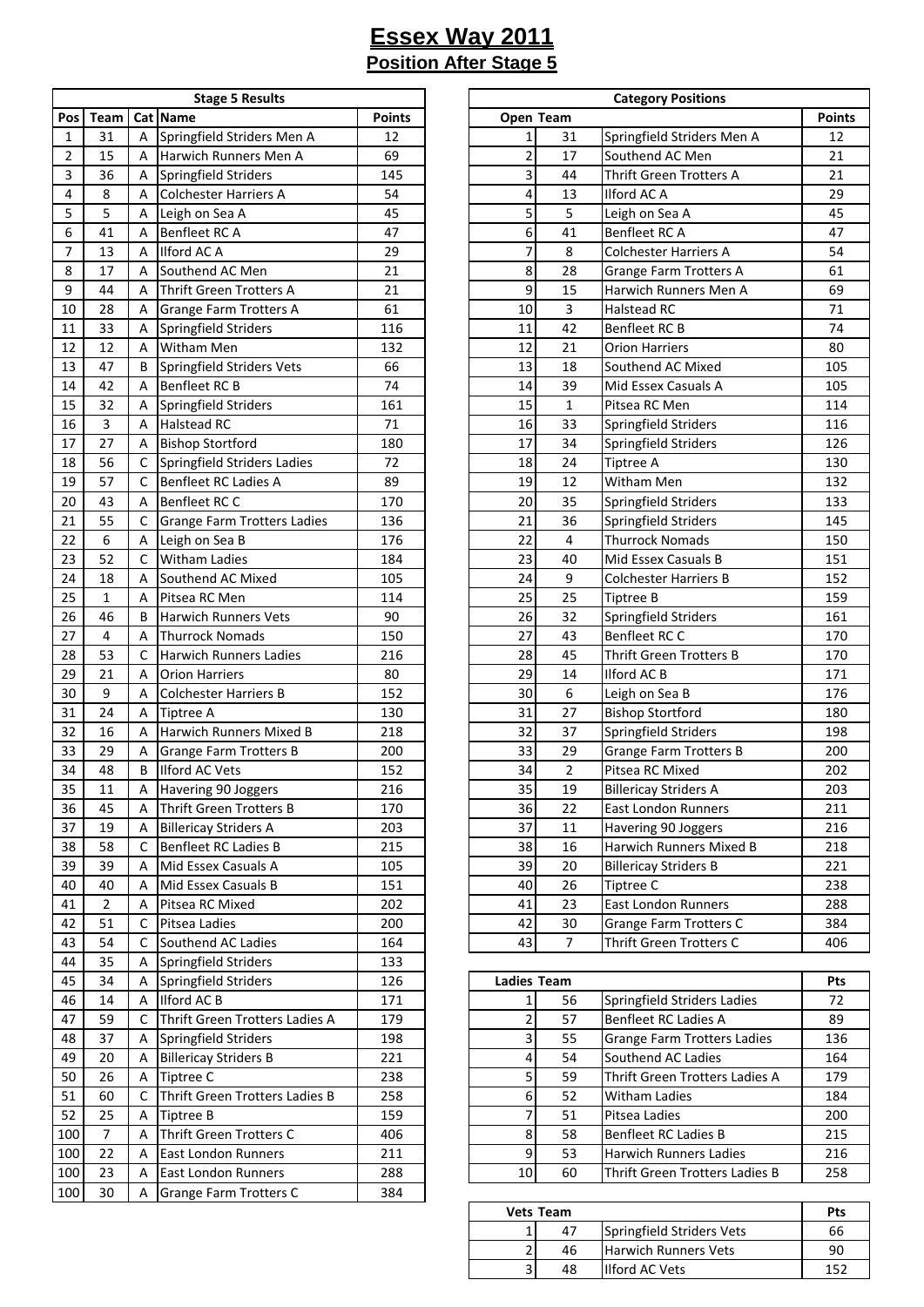|     | <b>Stage 5 Results</b> |   |                                    |               |  |  |  |  |  |
|-----|------------------------|---|------------------------------------|---------------|--|--|--|--|--|
| Pos | Team                   |   | Cat Name                           | <b>Points</b> |  |  |  |  |  |
| 1   | 31                     | А | Springfield Striders Men A         | 12            |  |  |  |  |  |
| 2   | 15                     | А | Harwich Runners Men A              | 69            |  |  |  |  |  |
| 3   | 36                     | А | Springfield Striders               | 145           |  |  |  |  |  |
| 4   | 8                      | А | <b>Colchester Harriers A</b>       | 54            |  |  |  |  |  |
| 5   | 5                      | А | Leigh on Sea A                     | 45            |  |  |  |  |  |
| 6   | 41                     | А | Benfleet RC A                      | 47            |  |  |  |  |  |
| 7   | 13                     | А | <b>Ilford AC A</b>                 | 29            |  |  |  |  |  |
| 8   | 17                     | А | Southend AC Men                    | 21            |  |  |  |  |  |
| 9   | 44                     | А | <b>Thrift Green Trotters A</b>     | 21            |  |  |  |  |  |
| 10  | 28                     | А | <b>Grange Farm Trotters A</b>      | 61            |  |  |  |  |  |
| 11  | 33                     | А | Springfield Striders               | 116           |  |  |  |  |  |
| 12  | 12                     | Α | Witham Men                         | 132           |  |  |  |  |  |
| 13  | 47                     | В | Springfield Striders Vets          | 66            |  |  |  |  |  |
| 14  | 42                     | Α | Benfleet RC B                      | 74            |  |  |  |  |  |
| 15  | 32                     | Α | Springfield Striders               | 161           |  |  |  |  |  |
| 16  | 3                      | А | <b>Halstead RC</b>                 | 71            |  |  |  |  |  |
|     |                        |   |                                    |               |  |  |  |  |  |
| 17  | 27                     | Α | <b>Bishop Stortford</b>            | 180           |  |  |  |  |  |
| 18  | 56                     | с | Springfield Striders Ladies        | 72            |  |  |  |  |  |
| 19  | 57                     | С | <b>Benfleet RC Ladies A</b>        | 89            |  |  |  |  |  |
| 20  | 43                     | Α | Benfleet RC C                      | 170           |  |  |  |  |  |
| 21  | 55                     | С | <b>Grange Farm Trotters Ladies</b> | 136           |  |  |  |  |  |
| 22  | 6                      | Α | Leigh on Sea B                     | 176           |  |  |  |  |  |
| 23  | 52                     | C | Witham Ladies                      | 184           |  |  |  |  |  |
| 24  | 18                     | А | Southend AC Mixed                  | 105           |  |  |  |  |  |
| 25  | $\mathbf{1}$           | А | Pitsea RC Men                      | 114           |  |  |  |  |  |
| 26  | 46                     | В | <b>Harwich Runners Vets</b>        | 90            |  |  |  |  |  |
| 27  | 4                      | А | <b>Thurrock Nomads</b>             | 150           |  |  |  |  |  |
| 28  | 53                     | С | <b>Harwich Runners Ladies</b>      | 216           |  |  |  |  |  |
| 29  | 21                     | Α | <b>Orion Harriers</b>              | 80            |  |  |  |  |  |
| 30  | 9                      | Α | <b>Colchester Harriers B</b>       | 152           |  |  |  |  |  |
| 31  | 24                     | А | Tiptree A                          | 130           |  |  |  |  |  |
| 32  | 16                     | А | Harwich Runners Mixed B            | 218           |  |  |  |  |  |
| 33  | 29                     | Α | <b>Grange Farm Trotters B</b>      | 200           |  |  |  |  |  |
| 34  | 48                     | В | <b>Ilford AC Vets</b>              | 152           |  |  |  |  |  |
| 35  | 11                     | А | Havering 90 Joggers                | 216           |  |  |  |  |  |
| 36  | 45                     | А | <b>Thrift Green Trotters B</b>     | 170           |  |  |  |  |  |
| 37  | 19                     | А | <b>Billericay Striders A</b>       | 203           |  |  |  |  |  |
| 38  | 58                     | С | <b>Benfleet RC Ladies B</b>        | 215           |  |  |  |  |  |
| 39  | 39                     | А | Mid Essex Casuals A                | 105           |  |  |  |  |  |
| 40  | 40                     | Α | Mid Essex Casuals B                | 151           |  |  |  |  |  |
| 41  | $\overline{2}$         | Α | Pitsea RC Mixed                    | 202           |  |  |  |  |  |
| 42  | 51                     | С | Pitsea Ladies                      | 200           |  |  |  |  |  |
| 43  | 54                     | C | Southend AC Ladies                 | 164           |  |  |  |  |  |
| 44  | 35                     | Α | Springfield Striders               | 133           |  |  |  |  |  |
| 45  | 34                     | Α | Springfield Striders               | 126           |  |  |  |  |  |
| 46  | 14                     | Α | Ilford AC B                        | 171           |  |  |  |  |  |
| 47  | 59                     | С | Thrift Green Trotters Ladies A     | 179           |  |  |  |  |  |
| 48  | 37                     | Α | Springfield Striders               | 198           |  |  |  |  |  |
| 49  | 20                     | А | <b>Billericay Striders B</b>       | 221           |  |  |  |  |  |
| 50  | 26                     | Α | Tiptree C                          | 238           |  |  |  |  |  |
| 51  | 60                     | с | Thrift Green Trotters Ladies B     | 258           |  |  |  |  |  |
| 52  | 25                     | А | Tiptree B                          | 159           |  |  |  |  |  |
| 100 | 7                      | А | Thrift Green Trotters C            | 406           |  |  |  |  |  |
| 100 | 22                     | Α | East London Runners                | 211           |  |  |  |  |  |
| 100 | 23                     | А | East London Runners                | 288           |  |  |  |  |  |
| 100 | 30                     | А | Grange Farm Trotters C             | 384           |  |  |  |  |  |
|     |                        |   |                                    |               |  |  |  |  |  |

|                  |                  |                           | <b>Stage 5 Results</b>         |               |                |                | <b>Category Positions</b>      |               |  |  |
|------------------|------------------|---------------------------|--------------------------------|---------------|----------------|----------------|--------------------------------|---------------|--|--|
| Pos              | Team             |                           | Cat Name                       | <b>Points</b> | Open Team      |                |                                | <b>Points</b> |  |  |
| $\mathbf{1}$     | 31               | A                         | Springfield Striders Men A     | 12            | $\mathbf{1}$   | 31             | Springfield Striders Men A     | 12            |  |  |
| $\overline{2}$   | 15               | A                         | Harwich Runners Men A          | 69            | $\overline{2}$ | 17             | Southend AC Men                | 21            |  |  |
| 3                | 36               | Α                         | Springfield Striders           | 145           | 3              | 44             | Thrift Green Trotters A        | 21            |  |  |
| $\overline{4}$   | 8                | Α                         | <b>Colchester Harriers A</b>   | 54            | 4              | 13             | Ilford AC A                    | 29            |  |  |
| 5                | 5                | A                         | Leigh on Sea A                 | 45            | 5              | 5              | Leigh on Sea A                 | 45            |  |  |
| 6                | 41               | A                         | Benfleet RC A                  | 47            | 6              | 41             | Benfleet RC A                  | 47            |  |  |
| $\boldsymbol{7}$ | 13               | A                         | <b>Ilford AC A</b>             | 29            | 7              | 8              | <b>Colchester Harriers A</b>   | 54            |  |  |
| 8                | 17               | A                         | Southend AC Men                | 21            | 8              | 28             | <b>Grange Farm Trotters A</b>  | 61            |  |  |
| 9                | 44               | A                         | <b>Thrift Green Trotters A</b> | 21            | 9              | 15             | Harwich Runners Men A          | 69            |  |  |
| 10               | 28               | A                         | <b>Grange Farm Trotters A</b>  | 61            | 10             | 3              | <b>Halstead RC</b>             | 71            |  |  |
| 11               | 33               | Α                         | Springfield Striders           | 116           | 11             | 42             | Benfleet RC B                  | 74            |  |  |
| 12               | 12               | Α                         | <b>Witham Men</b>              | 132           | 12             | 21             | <b>Orion Harriers</b>          | 80            |  |  |
| 13               | 47               | B                         | Springfield Striders Vets      | 66            | 13             | 18             | Southend AC Mixed              | 105           |  |  |
| 14               | 42               | A                         | Benfleet RC B                  | 74            | 14             | 39             | Mid Essex Casuals A            | 105           |  |  |
| 15               | 32               | Α                         | Springfield Striders           | 161           | 15             | $\mathbf{1}$   | Pitsea RC Men                  | 114           |  |  |
| 16               | $\overline{3}$   | A                         | <b>Halstead RC</b>             | 71            | 16             | 33             | Springfield Striders           | 116           |  |  |
| 17               | 27               | A                         | <b>Bishop Stortford</b>        | 180           | 17             | 34             | Springfield Striders           | 126           |  |  |
| 18               | 56               | C                         | Springfield Striders Ladies    | 72            | 18             | 24             | <b>Tiptree A</b>               | 130           |  |  |
| 19               | 57               | C                         | <b>Benfleet RC Ladies A</b>    | 89            | 19             | 12             | Witham Men                     | 132           |  |  |
| 20               | 43               | Α                         | <b>Benfleet RC C</b>           | 170           | 20             | 35             | Springfield Striders           | 133           |  |  |
| 21               | 55               | С                         | Grange Farm Trotters Ladies    | 136           | 21             | 36             | Springfield Striders           | 145           |  |  |
| 22               | 6                | Α                         | Leigh on Sea B                 | 176           | 22             | 4              | <b>Thurrock Nomads</b>         | 150           |  |  |
| 23               | 52               | C                         | <b>Witham Ladies</b>           | 184           | 23             | 40             | Mid Essex Casuals B            | 151           |  |  |
| 24               | 18               | Α                         | Southend AC Mixed              | 105           | 24             | 9              | <b>Colchester Harriers B</b>   | 152           |  |  |
| 25               | $\mathbf{1}$     | A                         | Pitsea RC Men                  | 114           | 25             | 25             | <b>Tiptree B</b>               | 159           |  |  |
| 26               | 46               | B                         | <b>Harwich Runners Vets</b>    | 90            | 26             | 32             | Springfield Striders           | 161           |  |  |
| 27               | 4                | A                         | <b>Thurrock Nomads</b>         | 150           | 27             | 43             | Benfleet RC C                  | 170           |  |  |
| 28               | 53               | C                         | <b>Harwich Runners Ladies</b>  | 216           | 28             | 45             | <b>Thrift Green Trotters B</b> | 170           |  |  |
| 29               | 21               | A                         | <b>Orion Harriers</b>          | 80            | 29             | 14             | <b>Ilford AC B</b>             | 171           |  |  |
| 30               | $\boldsymbol{9}$ | A                         | <b>Colchester Harriers B</b>   | 152           | 30             | 6              | Leigh on Sea B                 | 176           |  |  |
| 31               | 24               | Α                         | <b>Tiptree A</b>               | 130           | 31             | 27             | <b>Bishop Stortford</b>        | 180           |  |  |
| 32               | 16               | A                         | Harwich Runners Mixed B        | 218           | 32             | 37             | Springfield Striders           | 198           |  |  |
| 33               | 29               | A                         | <b>Grange Farm Trotters B</b>  | 200           | 33             | 29             | <b>Grange Farm Trotters B</b>  | 200           |  |  |
| 34               | 48               | B                         | Ilford AC Vets                 | 152           | 34             | $\overline{2}$ | Pitsea RC Mixed                | 202           |  |  |
| 35               | $11\,$           | $\boldsymbol{\mathsf{A}}$ | Havering 90 Joggers            | 216           | 35             | 19             | <b>Billericay Striders A</b>   | 203           |  |  |
| 36               | 45               | A                         | Thrift Green Trotters B        | 170           | 36             | 22             | <b>East London Runners</b>     | 211           |  |  |
| 37               | 19               | A                         | <b>Billericay Striders A</b>   | 203           | 37             | 11             | Havering 90 Joggers            | 216           |  |  |
| 38               | 58               | C                         | <b>Benfleet RC Ladies B</b>    | 215           | 38             | 16             | Harwich Runners Mixed B        | 218           |  |  |
| 39               | 39               | A                         | Mid Essex Casuals A            | 105           | 39             | 20             | <b>Billericay Striders B</b>   | 221           |  |  |
| 40               | 40               | A                         | Mid Essex Casuals B            | 151           | 40             | 26             | Tiptree C                      | 238           |  |  |
| 41               | $\overline{2}$   | A                         | Pitsea RC Mixed                | 202           | 41             | 23             | East London Runners            | 288           |  |  |
| 42               | 51               | с                         | Pitsea Ladies                  | 200           | 42             | 30             | Grange Farm Trotters C         | 384           |  |  |
| 43               | 54               | C                         | Southend AC Ladies             | 164           | 43             | $\overline{7}$ | Thrift Green Trotters C        | 406           |  |  |

| 45  | 34 |   | Springfield Striders           | 126 |    | <b>Ladies Team</b> |                                    |     |
|-----|----|---|--------------------------------|-----|----|--------------------|------------------------------------|-----|
| 46  | 14 |   | Ilford AC B                    | 171 |    | 56                 | Springfield Striders Ladies        | 72  |
| 47  | 59 |   | Thrift Green Trotters Ladies A | 179 |    | 57                 | Benfleet RC Ladies A               | 89  |
| 48  | 37 |   | Springfield Striders           | 198 |    | 55                 | <b>Grange Farm Trotters Ladies</b> | 136 |
| 49  | 20 |   | <b>Billericay Striders B</b>   | 221 |    | 54                 | Southend AC Ladies                 | 164 |
| 50  | 26 |   | Tiptree C                      | 238 |    | 59                 | Thrift Green Trotters Ladies A     | 179 |
| 51  | 60 |   | Thrift Green Trotters Ladies B | 258 |    | 52                 | <b>Witham Ladies</b>               | 184 |
| 52  | 25 |   | Tiptree B                      | 159 |    | 51                 | Pitsea Ladies                      | 200 |
| 100 |    | A | Thrift Green Trotters C        | 406 |    | 58                 | Benfleet RC Ladies B               | 215 |
| 100 | 22 |   | <b>East London Runners</b>     | 211 |    | 53                 | <b>Harwich Runners Ladies</b>      | 216 |
| 100 | 23 |   | <b>East London Runners</b>     | 288 | 10 | 60                 | Thrift Green Trotters Ladies B     | 258 |
|     |    |   |                                |     |    |                    |                                    |     |

|   | <b>Vets Team</b> |                             | Pts |
|---|------------------|-----------------------------|-----|
|   | 47               | Springfield Striders Vets   | 66  |
| ÷ | 46               | <b>Harwich Runners Vets</b> | 90  |
| ∽ | 48               | <b>Ilford AC Vets</b>       |     |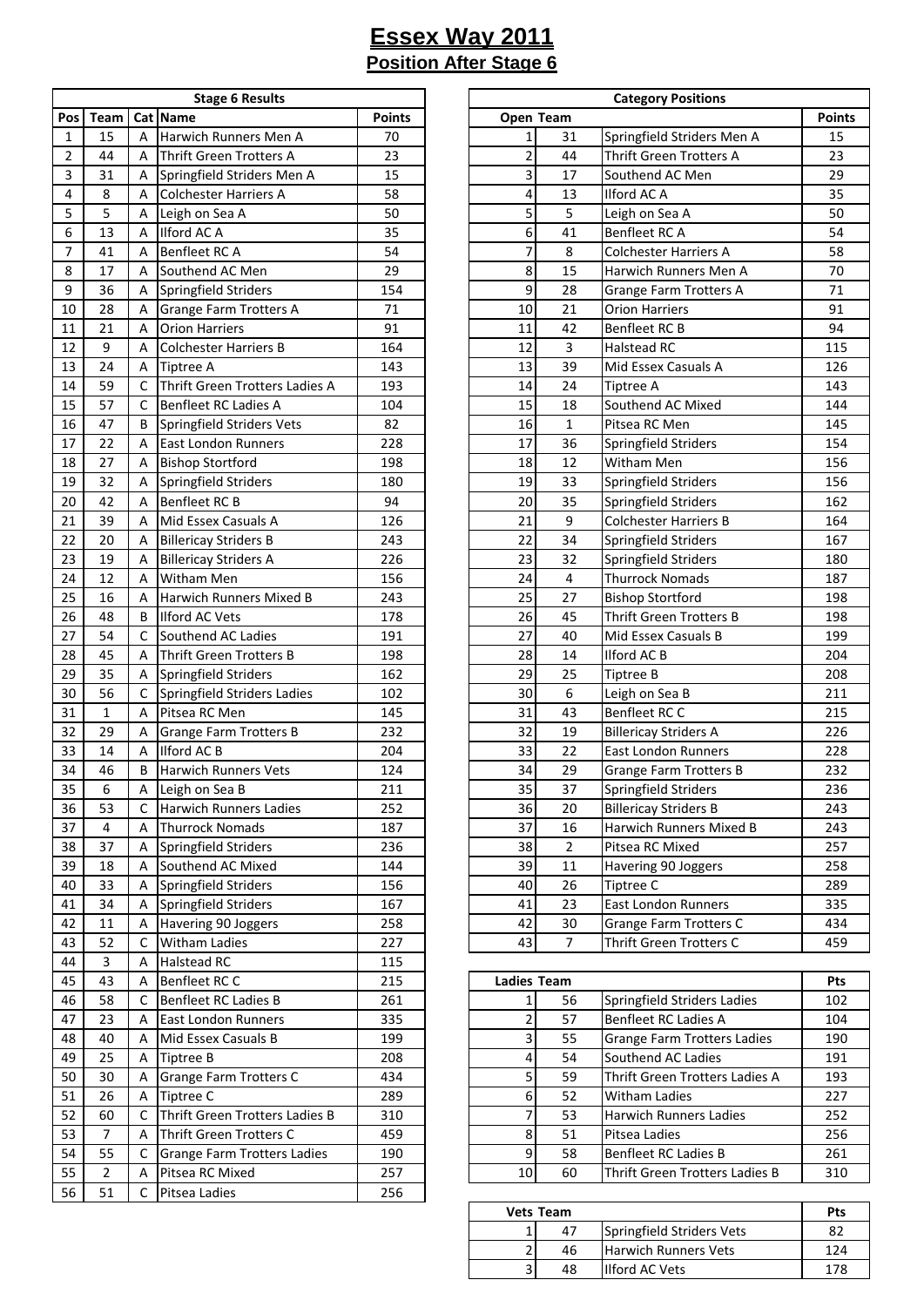|                | <b>Stage 6 Results</b> |     |                                                  |               |  |  |  |  |  |  |
|----------------|------------------------|-----|--------------------------------------------------|---------------|--|--|--|--|--|--|
| Pos            | Team                   | Cat | <b>Name</b>                                      | <b>Points</b> |  |  |  |  |  |  |
| 1              | 15                     | А   | Harwich Runners Men A                            | 70            |  |  |  |  |  |  |
| $\overline{2}$ | 44                     | A   | <b>Thrift Green Trotters A</b>                   | 23            |  |  |  |  |  |  |
| 3              | 31                     | А   | Springfield Striders Men A                       | 15            |  |  |  |  |  |  |
| 4              | 8                      | A   | <b>Colchester Harriers A</b>                     | 58            |  |  |  |  |  |  |
| 5              | 5                      | A   | Leigh on Sea A                                   | 50            |  |  |  |  |  |  |
| 6              | 13                     | А   | Ilford AC A                                      | 35            |  |  |  |  |  |  |
| 7              | 41                     | А   | Benfleet RC A                                    | 54            |  |  |  |  |  |  |
| 8              | 17                     | А   | Southend AC Men                                  | 29            |  |  |  |  |  |  |
| 9              | 36                     | Α   | Springfield Striders                             | 154           |  |  |  |  |  |  |
| 10             | 28                     | Α   | <b>Grange Farm Trotters A</b>                    | 71            |  |  |  |  |  |  |
| 11             | 21                     | Α   | <b>Orion Harriers</b>                            | 91            |  |  |  |  |  |  |
| 12             | 9                      | А   | <b>Colchester Harriers B</b>                     | 164           |  |  |  |  |  |  |
| 13             | 24                     | Α   | Tiptree A                                        | 143           |  |  |  |  |  |  |
| 14             | 59                     | C   | Thrift Green Trotters Ladies A                   | 193           |  |  |  |  |  |  |
| 15             | 57                     | C   | <b>Benfleet RC Ladies A</b>                      | 104           |  |  |  |  |  |  |
| 16             | 47                     | В   |                                                  | 82            |  |  |  |  |  |  |
| 17             | 22                     | А   | Springfield Striders Vets<br>East London Runners | 228           |  |  |  |  |  |  |
| 18             | 27                     |     |                                                  |               |  |  |  |  |  |  |
|                |                        | А   | <b>Bishop Stortford</b>                          | 198           |  |  |  |  |  |  |
| 19             | 32                     | Α   | Springfield Striders                             | 180           |  |  |  |  |  |  |
| 20             | 42                     | А   | Benfleet RC B                                    | 94            |  |  |  |  |  |  |
| 21             | 39                     | Α   | Mid Essex Casuals A                              | 126           |  |  |  |  |  |  |
| 22             | 20                     | А   | <b>Billericay Striders B</b>                     | 243           |  |  |  |  |  |  |
| 23             | 19                     | А   | <b>Billericay Striders A</b>                     | 226           |  |  |  |  |  |  |
| 24             | 12                     | Α   | Witham Men                                       | 156           |  |  |  |  |  |  |
| 25             | 16                     | А   | Harwich Runners Mixed B                          | 243           |  |  |  |  |  |  |
| 26             | 48                     | В   | <b>Ilford AC Vets</b>                            | 178           |  |  |  |  |  |  |
| 27             | 54                     | C   | Southend AC Ladies                               | 191           |  |  |  |  |  |  |
| 28             | 45                     | Α   | <b>Thrift Green Trotters B</b>                   | 198           |  |  |  |  |  |  |
| 29             | 35                     | Α   | Springfield Striders                             | 162           |  |  |  |  |  |  |
| 30             | 56                     | C   | Springfield Striders Ladies                      | 102           |  |  |  |  |  |  |
| 31             | $\mathbf{1}$           | А   | Pitsea RC Men                                    | 145           |  |  |  |  |  |  |
| 32             | 29                     | А   | <b>Grange Farm Trotters B</b>                    | 232           |  |  |  |  |  |  |
| 33             | 14                     | А   | Ilford AC B                                      | 204           |  |  |  |  |  |  |
| 34             | 46                     | В   | <b>Harwich Runners Vets</b>                      | 124           |  |  |  |  |  |  |
| 35             | 6                      | А   | Leigh on Sea B                                   | 211           |  |  |  |  |  |  |
| 36             | 53                     | С   | Harwich Runners Ladies                           | 252           |  |  |  |  |  |  |
| 37             | 4                      | A   | <b>Thurrock Nomads</b>                           | 187           |  |  |  |  |  |  |
| 38             | 37                     | Α   | Springfield Striders                             | 236           |  |  |  |  |  |  |
| 39             | 18                     | Α   | Southend AC Mixed                                | 144           |  |  |  |  |  |  |
| 40             | 33                     | Α   | Springfield Striders                             | 156           |  |  |  |  |  |  |
| 41             | 34                     | Α   | Springfield Striders                             | 167           |  |  |  |  |  |  |
| 42             | 11                     | A   | Havering 90 Joggers                              | 258           |  |  |  |  |  |  |
| 43             | 52                     | C   | Witham Ladies                                    | 227           |  |  |  |  |  |  |
| 44             | 3                      | Α   | Halstead RC                                      | 115           |  |  |  |  |  |  |
| 45             | 43                     | Α   | Benfleet RC C                                    | 215           |  |  |  |  |  |  |
| 46             | 58                     | C   | Benfleet RC Ladies B                             | 261           |  |  |  |  |  |  |
| 47             | 23                     | Α   | East London Runners                              | 335           |  |  |  |  |  |  |
| 48             | 40                     | Α   | Mid Essex Casuals B                              | 199           |  |  |  |  |  |  |
| 49             | 25                     | А   | Tiptree B                                        | 208           |  |  |  |  |  |  |
| 50             | 30                     | Α   | Grange Farm Trotters C                           | 434           |  |  |  |  |  |  |
| 51             | 26                     | A   | Tiptree C                                        | 289           |  |  |  |  |  |  |
| 52             | 60                     | С   | Thrift Green Trotters Ladies B                   | 310           |  |  |  |  |  |  |
| 53             | 7                      | А   | Thrift Green Trotters C                          | 459           |  |  |  |  |  |  |
| 54             | 55                     | С   | <b>Grange Farm Trotters Ladies</b>               | 190           |  |  |  |  |  |  |
| 55             | 2                      | A   | Pitsea RC Mixed                                  | 257           |  |  |  |  |  |  |
| 56             | 51                     | С   | Pitsea Ladies                                    | 256           |  |  |  |  |  |  |
|                |                        |     |                                                  |               |  |  |  |  |  |  |

|                 |                  |                           | <b>Stage 6 Results</b>         |               | <b>Category Positions</b> |                 |                                |               |
|-----------------|------------------|---------------------------|--------------------------------|---------------|---------------------------|-----------------|--------------------------------|---------------|
| Pos             | Team             |                           | Cat Name                       | <b>Points</b> | Open Team                 |                 |                                | <b>Points</b> |
| $\mathbf{1}$    | 15               | A                         | Harwich Runners Men A          | 70            | $\mathbf{1}$              | 31              | Springfield Striders Men A     | 15            |
| $\overline{2}$  | 44               | A                         | Thrift Green Trotters A        | 23            | $\overline{2}$            | 44              | <b>Thrift Green Trotters A</b> | 23            |
| 3               | 31               | Α                         | Springfield Striders Men A     | 15            | $\overline{\mathbf{3}}$   | 17              | Southend AC Men                | 29            |
| 4               | 8                | A                         | Colchester Harriers A          | 58            | 4                         | 13              | Ilford AC A                    | 35            |
| 5               | 5                | Α                         | Leigh on Sea A                 | 50            | 5                         | 5               | Leigh on Sea A                 | 50            |
| 6               | 13               | A                         | Ilford AC A                    | 35            | 6                         | 41              | Benfleet RC A                  | 54            |
| $\overline{7}$  | 41               | A                         | Benfleet RC A                  | 54            | 7                         | 8               | <b>Colchester Harriers A</b>   | 58            |
| 8               | 17               | A                         | Southend AC Men                | 29            | 8                         | 15              | Harwich Runners Men A          | 70            |
| 9               | 36               | A                         | Springfield Striders           | 154           | 9                         | 28              | <b>Grange Farm Trotters A</b>  | 71            |
| 10              | 28               | Α                         | Grange Farm Trotters A         | 71            | 10                        | 21              | <b>Orion Harriers</b>          | 91            |
| 11              | 21               | A                         | <b>Orion Harriers</b>          | 91            | 11                        | 42              | Benfleet RC B                  | 94            |
| 12              | $\boldsymbol{9}$ | A                         | <b>Colchester Harriers B</b>   | 164           | 12                        | 3               | <b>Halstead RC</b>             | 115           |
| 13              | 24               | Α                         | <b>Tiptree A</b>               | 143           | 13                        | 39              | Mid Essex Casuals A            | 126           |
| 14              | 59               | C                         | Thrift Green Trotters Ladies A | 193           | 14                        | 24              | <b>Tiptree A</b>               | 143           |
| 15              | 57               | C                         | Benfleet RC Ladies A           | 104           | 15                        | 18              | Southend AC Mixed              | 144           |
| 16              | 47               | B                         | Springfield Striders Vets      | 82            | 16                        | $\mathbf{1}$    | Pitsea RC Men                  | 145           |
| 17              | 22               | A                         | <b>East London Runners</b>     | 228           | 17                        | 36              | Springfield Striders           | 154           |
| 18              | 27               | Α                         | <b>Bishop Stortford</b>        | 198           | 18                        | 12              | Witham Men                     | 156           |
| 19              | 32               | Α                         | Springfield Striders           | 180           | 19                        | 33              | Springfield Striders           | 156           |
| $20\,$          | 42               | A                         | <b>Benfleet RC B</b>           | 94            | 20                        | 35              | Springfield Striders           | 162           |
| 21              | 39               | A                         | Mid Essex Casuals A            | 126           | 21                        | 9               | <b>Colchester Harriers B</b>   | 164           |
| 22              | 20               | Α                         | <b>Billericay Striders B</b>   | 243           | 22                        | 34              | <b>Springfield Striders</b>    | 167           |
| 23              | 19               | A                         | <b>Billericay Striders A</b>   | 226           | 23                        | 32              | Springfield Striders           | 180           |
| 24              | 12               | A                         | Witham Men                     | 156           | 24                        | $\overline{4}$  | <b>Thurrock Nomads</b>         | 187           |
| 25              | 16               | A                         | Harwich Runners Mixed B        | 243           | 25                        | 27              | <b>Bishop Stortford</b>        | 198           |
| 26              | 48               | B                         | <b>Ilford AC Vets</b>          | 178           | 26                        | 45              | <b>Thrift Green Trotters B</b> | 198           |
| 27              | 54               | C                         | Southend AC Ladies             | 191           | 27                        | 40              | Mid Essex Casuals B            | 199           |
| 28              | 45               | Α                         | Thrift Green Trotters B        | 198           | 28                        | 14              | Ilford AC B                    | 204           |
| 29              | 35               | Α                         | Springfield Striders           | 162           | 29                        | 25              | <b>Tiptree B</b>               | 208           |
| 30              | 56               | C                         | Springfield Striders Ladies    | 102           | 30                        | 6               | Leigh on Sea B                 | 211           |
| 31              | $\mathbf{1}$     | A                         | Pitsea RC Men                  | 145           | 31                        | 43              | Benfleet RC C                  | 215           |
| 32              | 29               | Α                         | <b>Grange Farm Trotters B</b>  | 232           | 32                        | 19              | <b>Billericay Striders A</b>   | 226           |
| 33              | 14               | A                         | Ilford AC B                    | 204           | 33                        | 22              | <b>East London Runners</b>     | 228           |
| 34              | 46               | B                         | <b>Harwich Runners Vets</b>    | 124           | 34                        | 29              | <b>Grange Farm Trotters B</b>  | 232           |
| $\overline{35}$ | $\overline{6}$   | $\boldsymbol{\mathsf{A}}$ | Leigh on Sea B                 | 211           | $\overline{35}$           | $\overline{37}$ | Springfield Striders           | 236           |
| 36              | 53               | C                         | <b>Harwich Runners Ladies</b>  | 252           | 36                        | 20              | <b>Billericay Striders B</b>   | 243           |
| 37              | 4                | A                         | <b>Thurrock Nomads</b>         | 187           | 37                        | 16              | Harwich Runners Mixed B        | 243           |
| 38              | 37               | Α                         | Springfield Striders           | 236           | 38                        | 2               | Pitsea RC Mixed                | 257           |
| 39              | 18               | Α                         | Southend AC Mixed              | 144           | 39                        | 11              | Havering 90 Joggers            | 258           |
| 40              | 33               | Α                         | Springfield Striders           | 156           | 40                        | 26              | Tiptree C                      | 289           |
| 41              | 34               | A                         | Springfield Striders           | 167           | 41                        | 23              | <b>East London Runners</b>     | 335           |
| 42              | 11               | Α                         | Havering 90 Joggers            | 258           | 42                        | 30              | Grange Farm Trotters C         | 434           |
| 43              | 52               | C                         | <b>Witham Ladies</b>           | 227           | 43                        | $\overline{7}$  | Thrift Green Trotters C        | 459           |

| 45 | 43 | А | Benfleet RC C                  | 215 |    | <b>Ladies Team</b> |                                    |     |
|----|----|---|--------------------------------|-----|----|--------------------|------------------------------------|-----|
| 46 | 58 |   | <b>Benfleet RC Ladies B</b>    | 261 |    | 56                 | Springfield Striders Ladies        | 102 |
| 47 | 23 | A | <b>East London Runners</b>     | 335 |    | 57                 | Benfleet RC Ladies A               | 104 |
| 48 | 40 | A | Mid Essex Casuals B            | 199 |    | 55                 | <b>Grange Farm Trotters Ladies</b> | 190 |
| 49 | 25 | A | Tiptree B                      | 208 |    | 54                 | Southend AC Ladies                 | 191 |
| 50 | 30 | A | Grange Farm Trotters C         | 434 |    | 59                 | Thrift Green Trotters Ladies A     | 193 |
| 51 | 26 | A | Tiptree C                      | 289 |    | 52                 | <b>Witham Ladies</b>               | 227 |
| 52 | 60 |   | Thrift Green Trotters Ladies B | 310 |    | 53                 | <b>Harwich Runners Ladies</b>      | 252 |
| 53 |    | А | Thrift Green Trotters C        | 459 |    | 51                 | Pitsea Ladies                      | 256 |
| 54 | 55 |   | Grange Farm Trotters Ladies    | 190 |    | 58                 | Benfleet RC Ladies B               | 261 |
| 55 |    | А | Pitsea RC Mixed                | 257 | 10 | 60                 | Thrift Green Trotters Ladies B     | 310 |
|    |    |   |                                |     |    |                    |                                    |     |

| <b>Vets Team</b> | Pts |                             |     |
|------------------|-----|-----------------------------|-----|
|                  | 47  | Springfield Striders Vets   | 82  |
|                  | 46  | <b>Harwich Runners Vets</b> | 124 |
|                  | 48  | <b>Ilford AC Vets</b>       |     |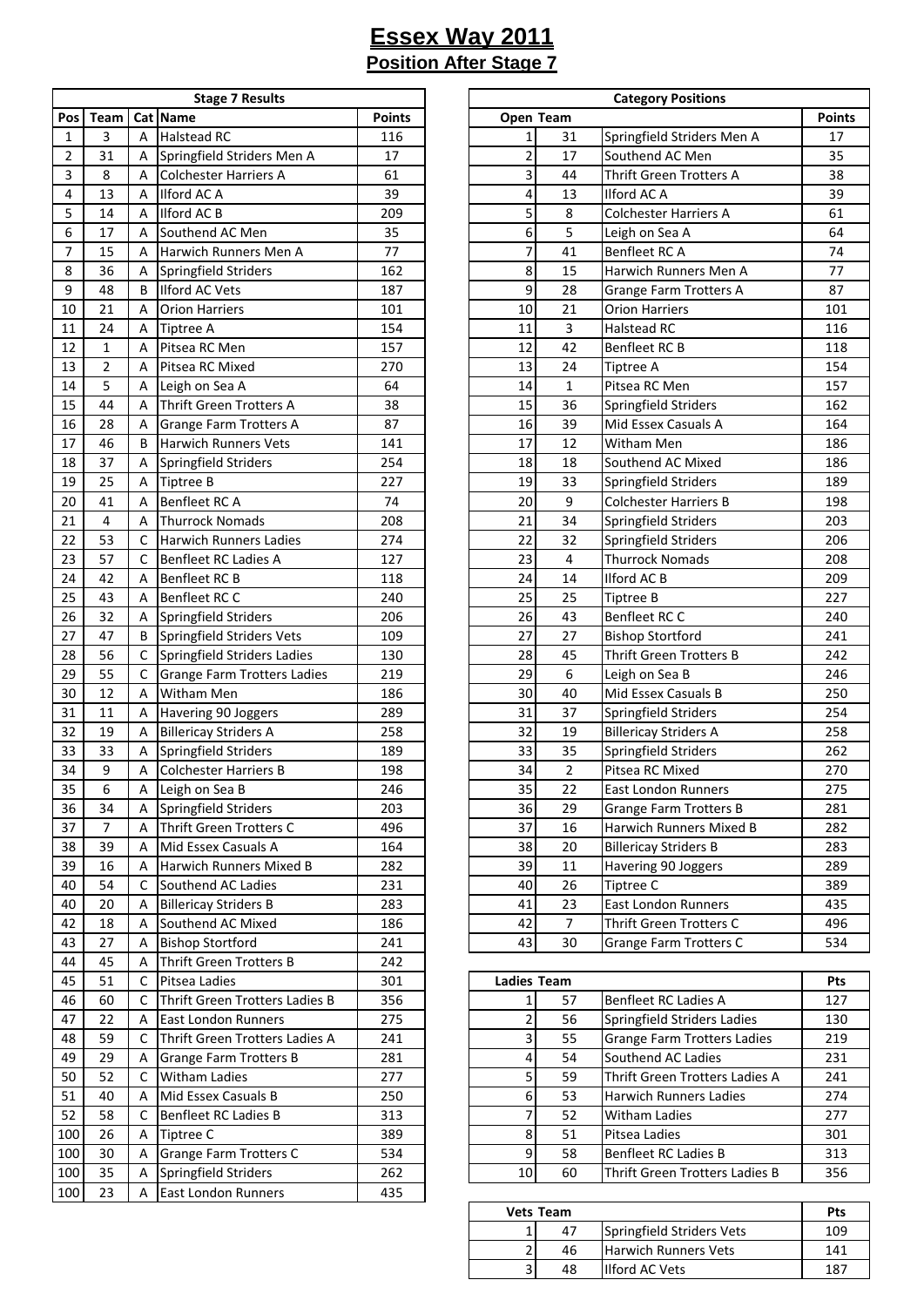|                         | <b>Stage 7 Results</b> |   |                                    |               |  |  |  |  |  |  |
|-------------------------|------------------------|---|------------------------------------|---------------|--|--|--|--|--|--|
| Pos                     | Team                   |   | Cat Name                           | <b>Points</b> |  |  |  |  |  |  |
| 1                       | 3                      | А | <b>Halstead RC</b>                 | 116           |  |  |  |  |  |  |
| $\overline{\mathbf{c}}$ | 31                     | Α | Springfield Striders Men A         | 17            |  |  |  |  |  |  |
| 3                       | 8                      | Α | <b>Colchester Harriers A</b>       | 61            |  |  |  |  |  |  |
| 4                       | 13                     | Α | <b>Ilford AC A</b>                 | 39            |  |  |  |  |  |  |
| 5                       | 14                     | А | Ilford AC B                        | 209           |  |  |  |  |  |  |
| 6                       | 17                     | Α | Southend AC Men                    | 35            |  |  |  |  |  |  |
| 7                       | 15                     | А | Harwich Runners Men A              | 77            |  |  |  |  |  |  |
| 8                       | 36                     | Α | Springfield Striders               | 162           |  |  |  |  |  |  |
| 9                       | 48                     | В | <b>Ilford AC Vets</b>              | 187           |  |  |  |  |  |  |
| 10                      | 21                     | Α | <b>Orion Harriers</b>              | 101           |  |  |  |  |  |  |
| 11                      | 24                     | А | <b>Tiptree A</b>                   | 154           |  |  |  |  |  |  |
| 12                      | $\mathbf{1}$           | Α | Pitsea RC Men                      | 157           |  |  |  |  |  |  |
| 13                      | 2                      | Α | Pitsea RC Mixed                    | 270           |  |  |  |  |  |  |
| 14                      | 5                      | Α | Leigh on Sea A                     | 64            |  |  |  |  |  |  |
| 15                      | 44                     | А | Thrift Green Trotters A            | 38            |  |  |  |  |  |  |
| 16                      | 28                     | Α | Grange Farm Trotters A             | 87            |  |  |  |  |  |  |
| 17                      | 46                     | В | <b>Harwich Runners Vets</b>        | 141           |  |  |  |  |  |  |
| 18                      | 37                     | А | Springfield Striders               | 254           |  |  |  |  |  |  |
| 19                      | 25                     | А | <b>Tiptree B</b>                   | 227           |  |  |  |  |  |  |
| 20                      | 41                     | Α | Benfleet RC A                      | 74            |  |  |  |  |  |  |
| 21                      | 4                      | А | <b>Thurrock Nomads</b>             | 208           |  |  |  |  |  |  |
| 22                      | 53                     | C | <b>Harwich Runners Ladies</b>      | 274           |  |  |  |  |  |  |
| 23                      | 57                     | C | <b>Benfleet RC Ladies A</b>        | 127           |  |  |  |  |  |  |
| 24                      | 42                     | Α | Benfleet RC B                      | 118           |  |  |  |  |  |  |
| 25                      | 43                     | А | <b>Benfleet RC C</b>               | 240           |  |  |  |  |  |  |
| 26                      | 32                     | А | Springfield Striders               | 206           |  |  |  |  |  |  |
| 27                      | 47                     | В | Springfield Striders Vets          | 109           |  |  |  |  |  |  |
| 28                      | 56                     | C | Springfield Striders Ladies        | 130           |  |  |  |  |  |  |
| 29                      | 55                     | C | <b>Grange Farm Trotters Ladies</b> | 219           |  |  |  |  |  |  |
| 30                      | 12                     | Α | Witham Men                         | 186           |  |  |  |  |  |  |
| 31                      | 11                     | A | Havering 90 Joggers                | 289           |  |  |  |  |  |  |
| 32                      | 19                     | А | <b>Billericay Striders A</b>       | 258           |  |  |  |  |  |  |
| 33                      | 33                     | А | Springfield Striders               | 189           |  |  |  |  |  |  |
| 34                      | 9                      | Α | <b>Colchester Harriers B</b>       | 198           |  |  |  |  |  |  |
| 35                      | 6                      | Α | Leigh on Sea B                     | 246           |  |  |  |  |  |  |
| 36                      | 34                     | Α | Springfield Striders               | 203           |  |  |  |  |  |  |
| 37                      | 7                      | Α | Thrift Green Trotters C            | 496           |  |  |  |  |  |  |
| 38                      | 39                     | Α | Mid Essex Casuals A                | 164           |  |  |  |  |  |  |
| 39                      | 16                     | Α | Harwich Runners Mixed B            | 282           |  |  |  |  |  |  |
| 40                      | 54                     | C | Southend AC Ladies                 | 231           |  |  |  |  |  |  |
| 40                      | 20                     | Α | <b>Billericay Striders B</b>       | 283           |  |  |  |  |  |  |
| 42                      | 18                     | А | Southend AC Mixed                  | 186           |  |  |  |  |  |  |
| 43                      | 27                     | А | <b>Bishop Stortford</b>            | 241           |  |  |  |  |  |  |
| 44                      | 45                     | А | <b>Thrift Green Trotters B</b>     | 242           |  |  |  |  |  |  |
| 45                      | 51                     | С | Pitsea Ladies                      | 301           |  |  |  |  |  |  |
| 46                      | 60                     | C | Thrift Green Trotters Ladies B     | 356           |  |  |  |  |  |  |
| 47                      | 22                     | Α | East London Runners                | 275           |  |  |  |  |  |  |
| 48                      | 59                     | C | Thrift Green Trotters Ladies A     | 241           |  |  |  |  |  |  |
| 49                      | 29                     | Α | <b>Grange Farm Trotters B</b>      | 281           |  |  |  |  |  |  |
| 50                      | 52                     | с | Witham Ladies                      | 277           |  |  |  |  |  |  |
| 51                      | 40                     | А | Mid Essex Casuals B                | 250           |  |  |  |  |  |  |
| 52                      | 58                     | С | Benfleet RC Ladies B               | 313           |  |  |  |  |  |  |
| 100                     | 26                     | Α | Tiptree C                          | 389           |  |  |  |  |  |  |
| 100                     | 30                     | Α | Grange Farm Trotters C             | 534           |  |  |  |  |  |  |
| 100                     | 35                     | А | Springfield Striders               | 262           |  |  |  |  |  |  |
| 100                     | 23                     | Α | East London Runners                | 435           |  |  |  |  |  |  |
|                         |                        |   |                                    |               |  |  |  |  |  |  |

|                 |                  |   | <b>Stage 7 Results</b>        |               | <b>Category Positions</b> |                 |                               |               |  |
|-----------------|------------------|---|-------------------------------|---------------|---------------------------|-----------------|-------------------------------|---------------|--|
| Pos             | Team             |   | Cat Name                      | <b>Points</b> | Open Team                 |                 |                               | <b>Points</b> |  |
| $\mathbf{1}$    | 3                | A | <b>Halstead RC</b>            | 116           | $\mathbf{1}$              | 31              | Springfield Striders Men A    | 17            |  |
| 2               | 31               | Α | Springfield Striders Men A    | 17            | $\overline{c}$            | 17              | Southend AC Men               | 35            |  |
| 3               | 8                | Α | <b>Colchester Harriers A</b>  | 61            | 3                         | 44              | Thrift Green Trotters A       | 38            |  |
| $\overline{4}$  | 13               | A | Ilford AC A                   | 39            | 4                         | 13              | Ilford AC A                   | 39            |  |
| 5               | 14               | A | Ilford AC B                   | 209           | 5                         | 8               | <b>Colchester Harriers A</b>  | 61            |  |
| 6               | 17               | A | Southend AC Men               | 35            | 6                         | 5               | Leigh on Sea A                | 64            |  |
| 7               | 15               | A | Harwich Runners Men A         | 77            | 7                         | 41              | Benfleet RC A                 | 74            |  |
| 8               | 36               | A | Springfield Striders          | 162           | 8                         | 15              | Harwich Runners Men A         | 77            |  |
| 9               | 48               | B | <b>Ilford AC Vets</b>         | 187           | 9                         | 28              | <b>Grange Farm Trotters A</b> | 87            |  |
| 10              | 21               | Α | <b>Orion Harriers</b>         | 101           | 10                        | 21              | <b>Orion Harriers</b>         | 101           |  |
| 11              | 24               | A | <b>Tiptree A</b>              | 154           | 11                        | 3               | <b>Halstead RC</b>            | 116           |  |
| 12              | $\mathbf{1}$     | A | Pitsea RC Men                 | 157           | 12                        | 42              | Benfleet RC B                 | 118           |  |
| 13              | $\mathbf 2$      | A | Pitsea RC Mixed               | 270           | 13                        | 24              | <b>Tiptree A</b>              | 154           |  |
| 14              | 5                | Α | Leigh on Sea A                | 64            | 14                        | $\mathbf{1}$    | Pitsea RC Men                 | 157           |  |
| 15              | 44               | A | Thrift Green Trotters A       | 38            | 15                        | 36              | Springfield Striders          | 162           |  |
| 16              | 28               | A | <b>Grange Farm Trotters A</b> | 87            | 16                        | 39              | Mid Essex Casuals A           | 164           |  |
| 17              | 46               | B | <b>Harwich Runners Vets</b>   | 141           | 17                        | 12              | <b>Witham Men</b>             | 186           |  |
| 18              | 37               | Α | Springfield Striders          | 254           | 18                        | 18              | Southend AC Mixed             | 186           |  |
| 19              | 25               | Α | <b>Tiptree B</b>              | 227           | 19                        | 33              | Springfield Striders          | 189           |  |
| 20              | 41               | A | Benfleet RC A                 | 74            | 20                        | 9               | <b>Colchester Harriers B</b>  | 198           |  |
| 21              | 4                | Α | <b>Thurrock Nomads</b>        | 208           | 21                        | 34              | Springfield Striders          | 203           |  |
| 22              | 53               | C | <b>Harwich Runners Ladies</b> | 274           | 22                        | 32              | Springfield Striders          | 206           |  |
| 23              | 57               | C | Benfleet RC Ladies A          | 127           | 23                        | 4               | <b>Thurrock Nomads</b>        | 208           |  |
| 24              | 42               | A | Benfleet RC B                 | 118           | 24                        | 14              | Ilford AC B                   | 209           |  |
| 25              | 43               | A | Benfleet RC C                 | 240           | 25                        | 25              | <b>Tiptree B</b>              | 227           |  |
| 26              | 32               | Α | Springfield Striders          | 206           | 26                        | 43              | Benfleet RC C                 | 240           |  |
| 27              | 47               | B | Springfield Striders Vets     | 109           | 27                        | 27              | <b>Bishop Stortford</b>       | 241           |  |
| 28              | 56               | C | Springfield Striders Ladies   | 130           | 28                        | 45              | Thrift Green Trotters B       | 242           |  |
| 29              | 55               | C | Grange Farm Trotters Ladies   | 219           | 29                        | 6               | Leigh on Sea B                | 246           |  |
| 30              | 12               | Α | <b>Witham Men</b>             | 186           | 30                        | 40              | Mid Essex Casuals B           | 250           |  |
| 31              | 11               | Α | Havering 90 Joggers           | 289           | 31                        | 37              | Springfield Striders          | 254           |  |
| 32              | 19               | A | <b>Billericay Striders A</b>  | 258           | 32                        | 19              | <b>Billericay Striders A</b>  | 258           |  |
| 33              | 33               | A | Springfield Striders          | 189           | 33                        | 35              | Springfield Striders          | 262           |  |
| 34              | 9                | Α | <b>Colchester Harriers B</b>  | 198           | 34                        | $\overline{2}$  | Pitsea RC Mixed               | 270           |  |
| $\overline{35}$ | $\boldsymbol{6}$ | A | Leigh on Sea B                | 246           | 35                        | $\overline{22}$ | East London Runners           | 275           |  |
| 36              | 34               | Α | Springfield Striders          | 203           | 36                        | 29              | <b>Grange Farm Trotters B</b> | 281           |  |
| 37              | 7                | Α | Thrift Green Trotters C       | 496           | 37                        | 16              | Harwich Runners Mixed B       | 282           |  |
| 38              | 39               | Α | Mid Essex Casuals A           | 164           | 38                        | 20              | <b>Billericay Striders B</b>  | 283           |  |
| 39              | 16               | Α | Harwich Runners Mixed B       | 282           | 39                        | 11              | Havering 90 Joggers           | 289           |  |
| 40              | 54               | C | Southend AC Ladies            | 231           | 40                        | 26              | Tiptree C                     | 389           |  |
| 40              | 20               | A | <b>Billericay Striders B</b>  | 283           | 41                        | 23              | <b>East London Runners</b>    | 435           |  |
| 42              | 18               | Α | Southend AC Mixed             | 186           | 42                        | $\overline{7}$  | Thrift Green Trotters C       | 496           |  |
| 43              | 27               | Α | <b>Bishop Stortford</b>       | 241           | 43                        | 30              | <b>Grange Farm Trotters C</b> | 534           |  |

| 45  | 51 |   | Pitsea Ladies                  | 301 |    | <b>Ladies Team</b> |                                |     |
|-----|----|---|--------------------------------|-----|----|--------------------|--------------------------------|-----|
| 46  | 60 |   | Thrift Green Trotters Ladies B | 356 |    | 57                 | Benfleet RC Ladies A           | 127 |
| 47  | 22 |   | <b>East London Runners</b>     | 275 |    | 56                 | Springfield Striders Ladies    | 130 |
| 48  | 59 |   | Thrift Green Trotters Ladies A | 241 |    | 55                 | Grange Farm Trotters Ladies    | 219 |
| 49  | 29 |   | Grange Farm Trotters B         | 281 |    | 54                 | Southend AC Ladies             | 231 |
| 50  | 52 |   | <b>Witham Ladies</b>           | 277 |    | 59                 | Thrift Green Trotters Ladies A | 241 |
| 51  | 40 |   | Mid Essex Casuals B            | 250 |    | 53                 | <b>Harwich Runners Ladies</b>  | 274 |
| 52  | 58 |   | Benfleet RC Ladies B           | 313 |    | 52                 | <b>Witham Ladies</b>           | 277 |
| 100 | 26 | A | Tiptree C                      | 389 |    | 51                 | Pitsea Ladies                  | 301 |
| 100 | 30 | A | Grange Farm Trotters C         | 534 |    | 58                 | Benfleet RC Ladies B           | 313 |
| 100 | 35 |   | Springfield Striders           | 262 | 10 | 60                 | Thrift Green Trotters Ladies B | 356 |
|     |    |   |                                |     |    |                    |                                |     |

|   | <b>Vets Team</b> |                             | Pts   |
|---|------------------|-----------------------------|-------|
|   | 47               | Springfield Striders Vets   | 109   |
| ∽ | 46               | <b>Harwich Runners Vets</b> | 141   |
| h | 48               | <b>Ilford AC Vets</b>       | 1 Q 7 |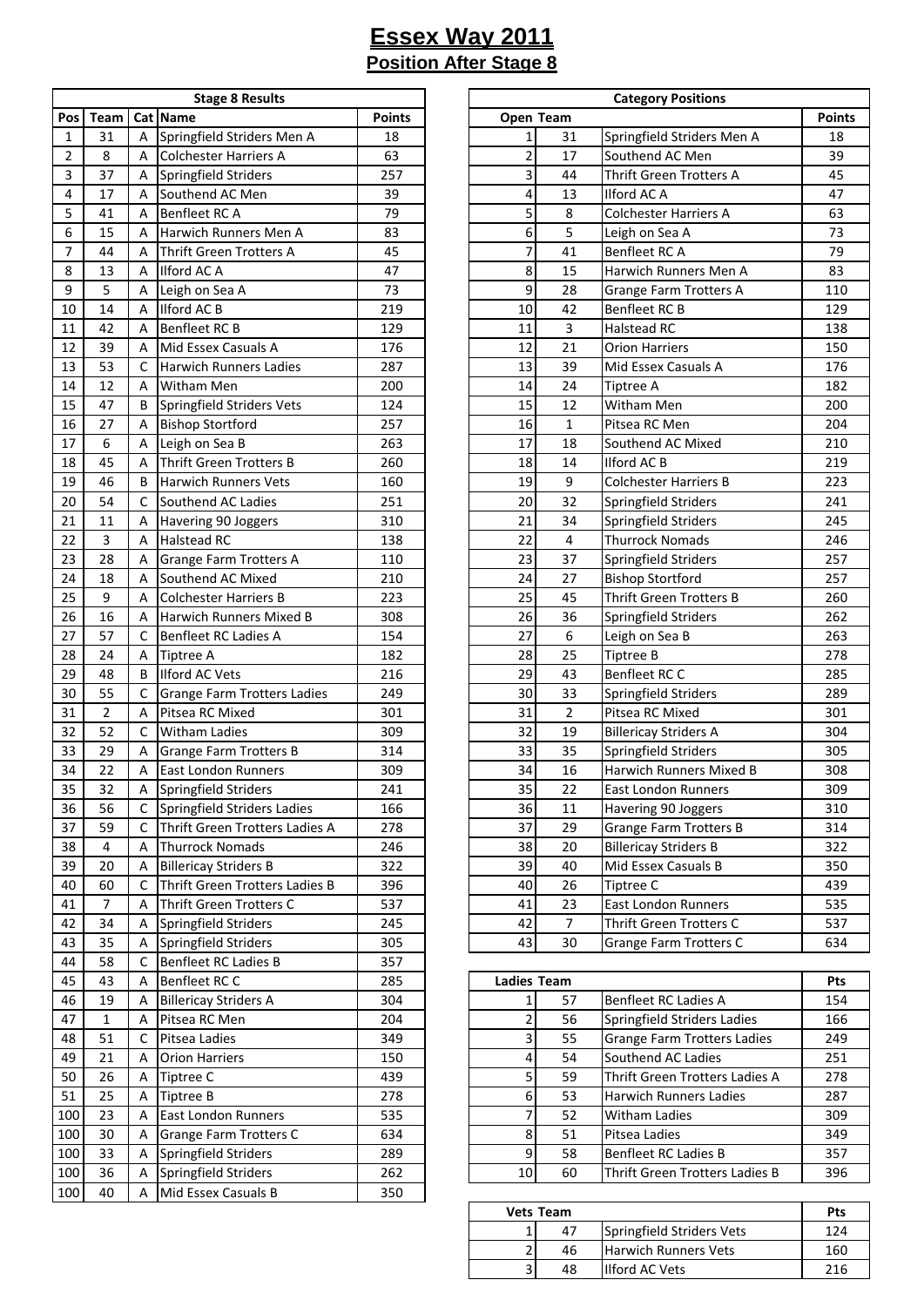|                | <b>Stage 8 Results</b> |   |                                |               |  |  |  |  |  |  |
|----------------|------------------------|---|--------------------------------|---------------|--|--|--|--|--|--|
| Pos            | Team                   |   | Cat Name                       | <b>Points</b> |  |  |  |  |  |  |
| 1              | 31                     | A | Springfield Striders Men A     | 18            |  |  |  |  |  |  |
| $\overline{2}$ | 8                      | А | Colchester Harriers A          | 63            |  |  |  |  |  |  |
| 3              | 37                     | А | Springfield Striders           | 257           |  |  |  |  |  |  |
| 4              | 17                     | A | Southend AC Men                | 39            |  |  |  |  |  |  |
| 5              | 41                     | A | Benfleet RC A                  | 79            |  |  |  |  |  |  |
| 6              | 15                     | А | Harwich Runners Men A          | 83            |  |  |  |  |  |  |
| 7              | 44                     | А | <b>Thrift Green Trotters A</b> | 45            |  |  |  |  |  |  |
| 8              | 13                     | А | Ilford AC A                    | 47            |  |  |  |  |  |  |
| 9              | 5                      | А | Leigh on Sea A                 | 73            |  |  |  |  |  |  |
| 10             | 14                     | А | Ilford AC B                    | 219           |  |  |  |  |  |  |
| 11             | 42                     | Α | Benfleet RC B                  | 129           |  |  |  |  |  |  |
| 12             | 39                     | Α | Mid Essex Casuals A            | 176           |  |  |  |  |  |  |
| 13             | 53                     | C | <b>Harwich Runners Ladies</b>  | 287           |  |  |  |  |  |  |
| 14             | 12                     | А | Witham Men                     | 200           |  |  |  |  |  |  |
| 15             | 47                     | В | Springfield Striders Vets      | 124           |  |  |  |  |  |  |
| 16             | 27                     | Α | <b>Bishop Stortford</b>        | 257           |  |  |  |  |  |  |
| 17             | 6                      | А | Leigh on Sea B                 | 263           |  |  |  |  |  |  |
| 18             | 45                     | Α | <b>Thrift Green Trotters B</b> | 260           |  |  |  |  |  |  |
| 19             | 46                     | В | <b>Harwich Runners Vets</b>    | 160           |  |  |  |  |  |  |
| 20             | 54                     | С | Southend AC Ladies             | 251           |  |  |  |  |  |  |
| 21             | 11                     |   |                                | 310           |  |  |  |  |  |  |
| 22             |                        | А | Havering 90 Joggers            |               |  |  |  |  |  |  |
|                | 3                      | А | <b>Halstead RC</b>             | 138           |  |  |  |  |  |  |
| 23             | 28                     | Α | Grange Farm Trotters A         | 110           |  |  |  |  |  |  |
| 24             | 18                     | Α | Southend AC Mixed              | 210           |  |  |  |  |  |  |
| 25             | 9                      | А | <b>Colchester Harriers B</b>   | 223           |  |  |  |  |  |  |
| 26             | 16                     | А | Harwich Runners Mixed B        | 308           |  |  |  |  |  |  |
| 27             | 57                     | С | Benfleet RC Ladies A           | 154           |  |  |  |  |  |  |
| 28             | 24                     | Α | <b>Tiptree A</b>               | 182           |  |  |  |  |  |  |
| 29             | 48                     | В | Ilford AC Vets                 | 216           |  |  |  |  |  |  |
| 30             | 55                     | C | Grange Farm Trotters Ladies    | 249           |  |  |  |  |  |  |
| 31             | $\overline{2}$         | А | Pitsea RC Mixed                | 301           |  |  |  |  |  |  |
| 32             | 52                     | C | Witham Ladies                  | 309           |  |  |  |  |  |  |
| 33             | 29                     | А | <b>Grange Farm Trotters B</b>  | 314           |  |  |  |  |  |  |
| 34             | 22                     | А | <b>East London Runners</b>     | 309           |  |  |  |  |  |  |
| 35             | 32                     | А | Springfield Striders           | 241           |  |  |  |  |  |  |
| 36             | 56                     | С | Springfield Striders Ladies    | 166           |  |  |  |  |  |  |
| 37             | 59                     | с | Thrift Green Trotters Ladies A | 278           |  |  |  |  |  |  |
| 38             | 4                      | А | <b>Thurrock Nomads</b>         | 246           |  |  |  |  |  |  |
| 39             | 20                     | А | <b>Billericay Striders B</b>   | 322           |  |  |  |  |  |  |
| 40             | 60                     | C | Thrift Green Trotters Ladies B | 396           |  |  |  |  |  |  |
| 41             | 7                      | Α | Thrift Green Trotters C        | 537           |  |  |  |  |  |  |
| 42             | 34                     | А | Springfield Striders           | 245           |  |  |  |  |  |  |
| 43             | 35                     | Α | Springfield Striders           | 305           |  |  |  |  |  |  |
| 44             | 58                     | C | Benfleet RC Ladies B           | 357           |  |  |  |  |  |  |
| 45             | 43                     | Α | Benfleet RC C                  | 285           |  |  |  |  |  |  |
| 46             | 19                     | Α | <b>Billericay Striders A</b>   | 304           |  |  |  |  |  |  |
| 47             | $\mathbf 1$            | Α | Pitsea RC Men                  | 204           |  |  |  |  |  |  |
| 48             | 51                     | С | Pitsea Ladies                  | 349           |  |  |  |  |  |  |
| 49             | 21                     | Α | <b>Orion Harriers</b>          | 150           |  |  |  |  |  |  |
| 50             | 26                     | А | Tiptree C                      | 439           |  |  |  |  |  |  |
| 51             | 25                     | Α | Tiptree B                      | 278           |  |  |  |  |  |  |
| 100            | 23                     | А | East London Runners            | 535           |  |  |  |  |  |  |
| 100            | 30                     | Α | Grange Farm Trotters C         | 634           |  |  |  |  |  |  |
| 100            | 33                     | А | Springfield Striders           | 289           |  |  |  |  |  |  |
| 100            | 36                     | А | Springfield Striders           | 262           |  |  |  |  |  |  |
| 100            | 40                     | Α | Mid Essex Casuals B            | 350           |  |  |  |  |  |  |
|                |                        |   |                                |               |  |  |  |  |  |  |

|                  |                |             | <b>Stage 8 Results</b>             |               | <b>Category Positions</b> |                |                               |               |
|------------------|----------------|-------------|------------------------------------|---------------|---------------------------|----------------|-------------------------------|---------------|
| Pos              | Team           |             | Cat Name                           | <b>Points</b> | Open Team                 |                |                               | <b>Points</b> |
| $\mathbf{1}$     | 31             | A           | Springfield Striders Men A         | 18            | $\mathbf{1}$              | 31             | Springfield Striders Men A    | 18            |
| $\overline{2}$   | 8              | A           | <b>Colchester Harriers A</b>       | 63            | $\overline{2}$            | 17             | Southend AC Men               | 39            |
| 3                | 37             | Α           | Springfield Striders               | 257           | 3                         | 44             | Thrift Green Trotters A       | 45            |
| $\overline{4}$   | 17             | Α           | Southend AC Men                    | 39            | 4                         | 13             | Ilford AC A                   | 47            |
| 5                | 41             | A           | Benfleet RC A                      | 79            | 5                         | 8              | Colchester Harriers A         | 63            |
| 6                | 15             | A           | Harwich Runners Men A              | 83            | 6                         | 5              | Leigh on Sea A                | 73            |
| $\boldsymbol{7}$ | 44             | A           | <b>Thrift Green Trotters A</b>     | 45            | 7                         | 41             | Benfleet RC A                 | 79            |
| 8                | 13             | A           | Ilford AC A                        | 47            | 8                         | 15             | Harwich Runners Men A         | 83            |
| 9                | 5              | A           | Leigh on Sea A                     | 73            | 9                         | 28             | <b>Grange Farm Trotters A</b> | 110           |
| 10               | 14             | A           | <b>Ilford AC B</b>                 | 219           | 10                        | 42             | Benfleet RC B                 | 129           |
| 11               | 42             | A           | Benfleet RC B                      | 129           | 11                        | 3              | <b>Halstead RC</b>            | 138           |
| 12               | 39             | A           | Mid Essex Casuals A                | 176           | 12                        | 21             | <b>Orion Harriers</b>         | 150           |
| 13               | 53             | C           | <b>Harwich Runners Ladies</b>      | 287           | 13                        | 39             | Mid Essex Casuals A           | 176           |
| 14               | 12             | A           | Witham Men                         | 200           | 14                        | 24             | <b>Tiptree A</b>              | 182           |
| 15               | 47             | B           | Springfield Striders Vets          | 124           | 15                        | 12             | Witham Men                    | 200           |
| 16               | 27             | A           | <b>Bishop Stortford</b>            | 257           | 16                        | $\mathbf{1}$   | Pitsea RC Men                 | 204           |
| 17               | 6              | A           | Leigh on Sea B                     | 263           | 17                        | 18             | Southend AC Mixed             | 210           |
| 18               | 45             | A           | Thrift Green Trotters B            | 260           | 18                        | 14             | Ilford AC B                   | 219           |
| 19               | 46             | B           | <b>Harwich Runners Vets</b>        | 160           | 19                        | 9              | <b>Colchester Harriers B</b>  | 223           |
| 20               | 54             | C           | Southend AC Ladies                 | 251           | 20                        | 32             | Springfield Striders          | 241           |
| 21               | 11             | Α           | Havering 90 Joggers                | 310           | 21                        | 34             | Springfield Striders          | 245           |
| 22               | $\overline{3}$ | Α           | <b>Halstead RC</b>                 | 138           | 22                        | 4              | <b>Thurrock Nomads</b>        | 246           |
| 23               | 28             | A           | Grange Farm Trotters A             | 110           | 23                        | 37             | Springfield Striders          | 257           |
| 24               | 18             | A           | Southend AC Mixed                  | 210           | 24                        | 27             | <b>Bishop Stortford</b>       | 257           |
| 25               | 9              | A           | <b>Colchester Harriers B</b>       | 223           | 25                        | 45             | Thrift Green Trotters B       | 260           |
| 26               | 16             | A           | Harwich Runners Mixed B            | 308           | 26                        | 36             | Springfield Striders          | 262           |
| 27               | 57             | C           | <b>Benfleet RC Ladies A</b>        | 154           | 27                        | 6              | Leigh on Sea B                | 263           |
| 28               | 24             | Α           | <b>Tiptree A</b>                   | 182           | 28                        | 25             | <b>Tiptree B</b>              | 278           |
| 29               | 48             | B           | <b>Ilford AC Vets</b>              | 216           | 29                        | 43             | Benfleet RC C                 | 285           |
| 30               | 55             | с           | <b>Grange Farm Trotters Ladies</b> | 249           | 30                        | 33             | Springfield Striders          | 289           |
| 31               | $\overline{2}$ | Α           | Pitsea RC Mixed                    | 301           | 31                        | $\overline{2}$ | Pitsea RC Mixed               | 301           |
| 32               | 52             | C           | <b>Witham Ladies</b>               | 309           | 32                        | 19             | <b>Billericay Striders A</b>  | 304           |
| 33               | 29             | A           | Grange Farm Trotters B             | 314           | 33                        | 35             | Springfield Striders          | 305           |
| 34               | 22             | Α           | <b>East London Runners</b>         | 309           | 34                        | 16             | Harwich Runners Mixed B       | 308           |
| 35               | 32             | $\mathsf A$ | Springfield Striders               | 241           | 35                        | 22             | East London Runners           | 309           |
| 36               | 56             | C           | Springfield Striders Ladies        | 166           | 36                        | 11             | Havering 90 Joggers           | 310           |
| 37               | 59             | C           | Thrift Green Trotters Ladies A     | 278           | 37                        | 29             | <b>Grange Farm Trotters B</b> | 314           |
| 38               | 4              | Α           | <b>Thurrock Nomads</b>             | 246           | 38                        | 20             | <b>Billericay Striders B</b>  | 322           |
| 39               | 20             | Α           | <b>Billericay Striders B</b>       | 322           | 39                        | 40             | Mid Essex Casuals B           | 350           |
| 40               | 60             | C           | Thrift Green Trotters Ladies B     | 396           | 40                        | 26             | Tiptree C                     | 439           |
| 41               | $\overline{7}$ | Α           | Thrift Green Trotters C            | 537           | 41                        | 23             | East London Runners           | 535           |
| 42               | 34             | Α           | Springfield Striders               | 245           | 42                        | 7              | Thrift Green Trotters C       | 537           |
| 43               | 35             | Α           | Springfield Striders               | 305           | 43                        | 30             | <b>Grange Farm Trotters C</b> | 634           |

| 45  | 43 |                | Benfleet RC C                | 285 |    | <b>Ladies Team</b> |                                    |     |
|-----|----|----------------|------------------------------|-----|----|--------------------|------------------------------------|-----|
| 46  | 19 |                | <b>Billericay Striders A</b> | 304 |    | 57                 | Benfleet RC Ladies A               | 154 |
| 47  |    | $\overline{A}$ | Pitsea RC Men                | 204 |    | 56                 | Springfield Striders Ladies        | 166 |
| 48  | 51 |                | Pitsea Ladies                | 349 |    | 55                 | <b>Grange Farm Trotters Ladies</b> | 249 |
| 49  | 21 |                | <b>Orion Harriers</b>        | 150 |    | 54                 | Southend AC Ladies                 | 251 |
| 50  | 26 | $\overline{A}$ | Tiptree C                    | 439 |    | 59                 | Thrift Green Trotters Ladies A     | 278 |
| 51  | 25 | $\overline{A}$ | Tiptree B                    | 278 |    | 53                 | <b>Harwich Runners Ladies</b>      | 287 |
| 100 | 23 |                | <b>East London Runners</b>   | 535 |    | 52                 | <b>Witham Ladies</b>               | 309 |
| 100 | 30 | A              | Grange Farm Trotters C       | 634 |    | 51                 | Pitsea Ladies                      | 349 |
| 100 | 33 |                | Springfield Striders         | 289 |    | 58                 | Benfleet RC Ladies B               | 357 |
| 100 | 36 |                | Springfield Striders         | 262 | 10 | 60                 | Thrift Green Trotters Ladies B     | 396 |
|     |    |                |                              |     |    |                    |                                    |     |

| <b>Vets Team</b> | Pts |                             |     |
|------------------|-----|-----------------------------|-----|
|                  | 47  | Springfield Striders Vets   | 124 |
| ∽                | 46  | <b>Harwich Runners Vets</b> | 160 |
| C                | 48  | <b>Ilford AC Vets</b>       | 216 |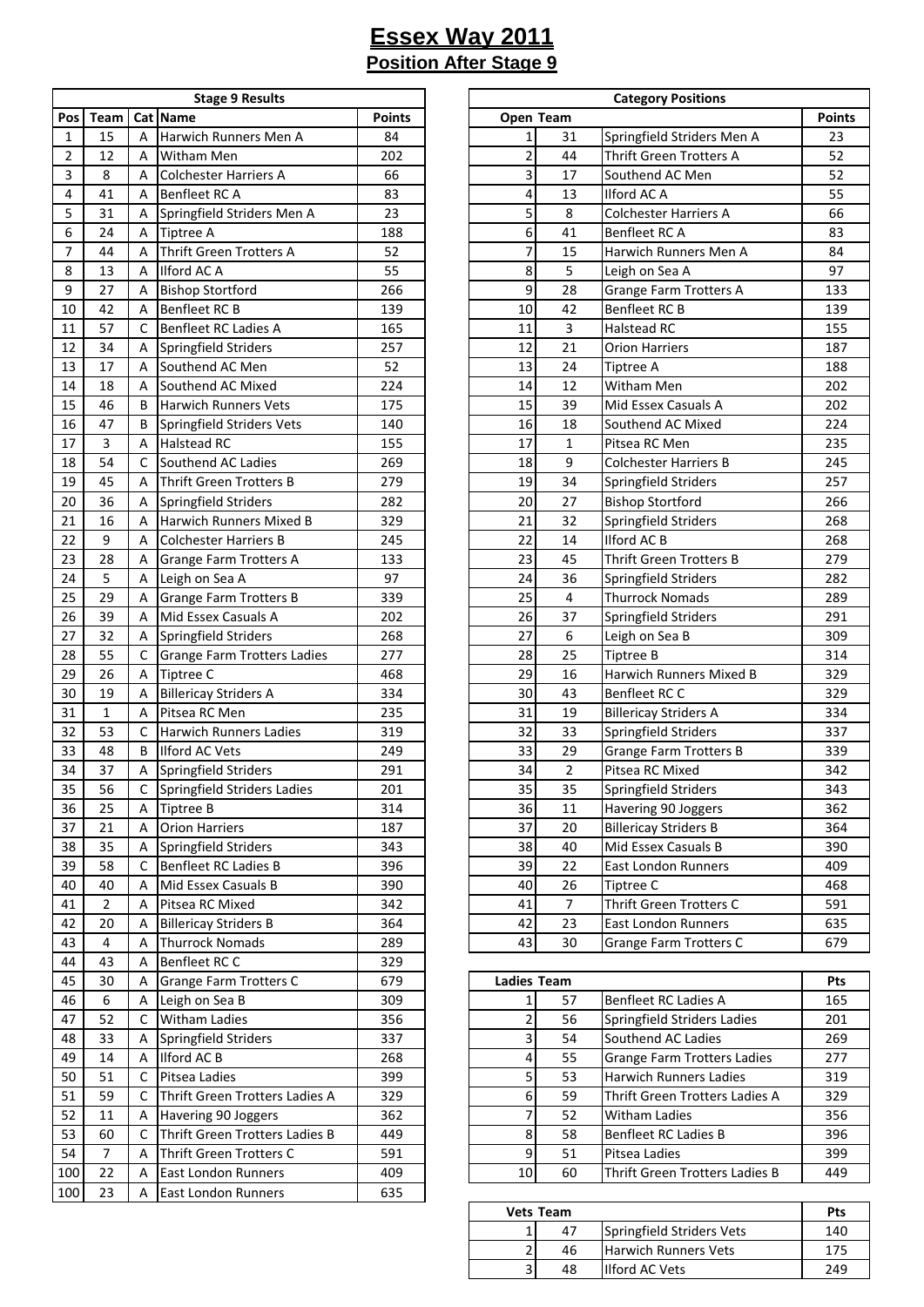|     | <b>Stage 9 Results</b> |   |                                |               |  |  |  |  |  |  |
|-----|------------------------|---|--------------------------------|---------------|--|--|--|--|--|--|
| Pos | Team                   |   | Cat Name                       | <b>Points</b> |  |  |  |  |  |  |
| 1   | 15                     | А | Harwich Runners Men A          | 84            |  |  |  |  |  |  |
| 2   | 12                     | А | Witham Men                     | 202           |  |  |  |  |  |  |
| 3   | 8                      | А | <b>Colchester Harriers A</b>   | 66            |  |  |  |  |  |  |
| 4   | 41                     | А | Benfleet RC A                  | 83            |  |  |  |  |  |  |
| 5   | 31                     | А | Springfield Striders Men A     | 23            |  |  |  |  |  |  |
| 6   | 24                     | А | Tiptree A                      | 188           |  |  |  |  |  |  |
| 7   | 44                     | А | Thrift Green Trotters A        | 52            |  |  |  |  |  |  |
| 8   | 13                     | А | Ilford AC A                    | 55            |  |  |  |  |  |  |
| 9   | 27                     | Α | <b>Bishop Stortford</b>        | 266           |  |  |  |  |  |  |
| 10  | 42                     | Α | Benfleet RC B                  | 139           |  |  |  |  |  |  |
| 11  | 57                     | C | Benfleet RC Ladies A           | 165           |  |  |  |  |  |  |
| 12  | 34                     | Α | Springfield Striders           | 257           |  |  |  |  |  |  |
| 13  | 17                     | Α | Southend AC Men                | 52            |  |  |  |  |  |  |
| 14  | 18                     | А | Southend AC Mixed              | 224           |  |  |  |  |  |  |
| 15  | 46                     |   | <b>Harwich Runners Vets</b>    | 175           |  |  |  |  |  |  |
|     |                        | В |                                |               |  |  |  |  |  |  |
| 16  | 47                     | В | Springfield Striders Vets      | 140           |  |  |  |  |  |  |
| 17  | 3                      | А | <b>Halstead RC</b>             | 155           |  |  |  |  |  |  |
| 18  | 54                     | С | Southend AC Ladies             | 269           |  |  |  |  |  |  |
| 19  | 45                     | А | <b>Thrift Green Trotters B</b> | 279           |  |  |  |  |  |  |
| 20  | 36                     | А | Springfield Striders           | 282           |  |  |  |  |  |  |
| 21  | 16                     | А | Harwich Runners Mixed B        | 329           |  |  |  |  |  |  |
| 22  | 9                      | Α | <b>Colchester Harriers B</b>   | 245           |  |  |  |  |  |  |
| 23  | 28                     | Α | Grange Farm Trotters A         | 133           |  |  |  |  |  |  |
| 24  | 5                      | А | Leigh on Sea A                 | 97            |  |  |  |  |  |  |
| 25  | 29                     | А | <b>Grange Farm Trotters B</b>  | 339           |  |  |  |  |  |  |
| 26  | 39                     | Α | Mid Essex Casuals A            | 202           |  |  |  |  |  |  |
| 27  | 32                     | Α | Springfield Striders           | 268           |  |  |  |  |  |  |
| 28  | 55                     | C | Grange Farm Trotters Ladies    | 277           |  |  |  |  |  |  |
| 29  | 26                     | А | Tiptree C                      | 468           |  |  |  |  |  |  |
| 30  | 19                     | Α | <b>Billericay Striders A</b>   | 334           |  |  |  |  |  |  |
| 31  | 1                      | А | Pitsea RC Men                  | 235           |  |  |  |  |  |  |
| 32  | 53                     | С | <b>Harwich Runners Ladies</b>  | 319           |  |  |  |  |  |  |
| 33  | 48                     | В | Ilford AC Vets                 | 249           |  |  |  |  |  |  |
| 34  | 37                     | Α | Springfield Striders           | 291           |  |  |  |  |  |  |
| 35  | 56                     | С | Springfield Striders Ladies    | 201           |  |  |  |  |  |  |
| 36  | 25                     | А | Tiptree B                      | 314           |  |  |  |  |  |  |
| 37  | 21                     | А | <b>Orion Harriers</b>          | 187           |  |  |  |  |  |  |
| 38  | 35                     | А | Springfield Striders           | 343           |  |  |  |  |  |  |
| 39  | 58                     | C | Benfleet RC Ladies B           | 396           |  |  |  |  |  |  |
| 40  | 40                     | Α | Mid Essex Casuals B            | 390           |  |  |  |  |  |  |
| 41  | $\overline{2}$         | А | Pitsea RC Mixed                | 342           |  |  |  |  |  |  |
| 42  | 20                     | А | <b>Billericay Striders B</b>   | 364           |  |  |  |  |  |  |
| 43  | 4                      | Α | <b>Thurrock Nomads</b>         | 289           |  |  |  |  |  |  |
| 44  | 43                     | Α | Benfleet RC C                  | 329           |  |  |  |  |  |  |
| 45  | 30                     | А | Grange Farm Trotters C         | 679           |  |  |  |  |  |  |
| 46  | 6                      | Α | Leigh on Sea B                 | 309           |  |  |  |  |  |  |
| 47  | 52                     | С | Witham Ladies                  | 356           |  |  |  |  |  |  |
| 48  | 33                     | Α | Springfield Striders           | 337           |  |  |  |  |  |  |
| 49  | 14                     | А | Ilford AC B                    | 268           |  |  |  |  |  |  |
| 50  |                        |   |                                |               |  |  |  |  |  |  |
|     | 51                     | с | Pitsea Ladies                  | 399           |  |  |  |  |  |  |
| 51  | 59                     | С | Thrift Green Trotters Ladies A | 329           |  |  |  |  |  |  |
| 52  | 11                     | А | Havering 90 Joggers            | 362           |  |  |  |  |  |  |
| 53  | 60                     | C | Thrift Green Trotters Ladies B | 449           |  |  |  |  |  |  |
| 54  | 7                      | А | Thrift Green Trotters C        | 591           |  |  |  |  |  |  |
| 100 | 22                     | А | <b>East London Runners</b>     | 409           |  |  |  |  |  |  |
| 100 | 23                     | А | East London Runners            | 635           |  |  |  |  |  |  |

|                         |                |                | <b>Stage 9 Results</b>             |               |                |                 | <b>Category Positions</b>      |               |
|-------------------------|----------------|----------------|------------------------------------|---------------|----------------|-----------------|--------------------------------|---------------|
| Pos                     | <b>Team</b>    |                | Cat Name                           | <b>Points</b> | Open Team      |                 |                                | <b>Points</b> |
| $\mathbf{1}$            | 15             | A              | Harwich Runners Men A              | 84            | $\mathbf{1}$   | 31              | Springfield Striders Men A     | 23            |
| $\overline{2}$          | 12             | Α              | Witham Men                         | 202           | $\overline{c}$ | 44              | Thrift Green Trotters A        | 52            |
| $\overline{\mathbf{3}}$ | 8              | A              | <b>Colchester Harriers A</b>       | 66            | 3              | 17              | Southend AC Men                | 52            |
| $\overline{4}$          | 41             | A              | Benfleet RC A                      | 83            | 4              | 13              | Ilford AC A                    | 55            |
| 5                       | 31             | A              | Springfield Striders Men A         | 23            | 5              | 8               | <b>Colchester Harriers A</b>   | 66            |
| 6                       | 24             | A              | <b>Tiptree A</b>                   | 188           | 6              | 41              | Benfleet RC A                  | 83            |
| 7                       | 44             | A              | Thrift Green Trotters A            | 52            | 7              | 15              | Harwich Runners Men A          | 84            |
| 8                       | 13             | A              | Ilford AC A                        | 55            | 8              | 5               | Leigh on Sea A                 | 97            |
| 9                       | 27             | Α              | <b>Bishop Stortford</b>            | 266           | 9              | 28              | <b>Grange Farm Trotters A</b>  | 133           |
| 10                      | 42             | Α              | <b>Benfleet RC B</b>               | 139           | 10             | 42              | Benfleet RC B                  | 139           |
| 11                      | 57             | C              | Benfleet RC Ladies A               | 165           | 11             | 3               | <b>Halstead RC</b>             | 155           |
| 12                      | 34             | Α              | Springfield Striders               | 257           | 12             | 21              | <b>Orion Harriers</b>          | 187           |
| 13                      | 17             | A              | Southend AC Men                    | 52            | 13             | 24              | <b>Tiptree A</b>               | 188           |
| 14                      | 18             | A              | Southend AC Mixed                  | 224           | 14             | 12              | Witham Men                     | 202           |
| 15                      | 46             | B              | <b>Harwich Runners Vets</b>        | 175           | 15             | 39              | Mid Essex Casuals A            | 202           |
| 16                      | 47             | B              | Springfield Striders Vets          | 140           | 16             | 18              | Southend AC Mixed              | 224           |
| 17                      | $\overline{3}$ | A              | <b>Halstead RC</b>                 | 155           | 17             | $\mathbf{1}$    | Pitsea RC Men                  | 235           |
| 18                      | 54             | C              | Southend AC Ladies                 | 269           | 18             | 9               | <b>Colchester Harriers B</b>   | 245           |
| 19                      | 45             | A              | Thrift Green Trotters B            | 279           | 19             | 34              | Springfield Striders           | 257           |
| 20                      | 36             | Α              | Springfield Striders               | 282           | 20             | 27              | <b>Bishop Stortford</b>        | 266           |
| 21                      | 16             | Α              | <b>Harwich Runners Mixed B</b>     | 329           | 21             | 32              | Springfield Striders           | 268           |
| 22                      | 9              | A              | <b>Colchester Harriers B</b>       | 245           | 22             | 14              | <b>Ilford AC B</b>             | 268           |
| 23                      | 28             | A              | <b>Grange Farm Trotters A</b>      | 133           | 23             | 45              | <b>Thrift Green Trotters B</b> | 279           |
| 24                      | 5              | A              | Leigh on Sea A                     | 97            | 24             | 36              | Springfield Striders           | 282           |
| 25                      | 29             | A              | <b>Grange Farm Trotters B</b>      | 339           | 25             | $\overline{4}$  | <b>Thurrock Nomads</b>         | 289           |
| 26                      | 39             | Α              | Mid Essex Casuals A                | 202           | 26             | 37              | Springfield Striders           | 291           |
| 27                      | 32             | Α              | Springfield Striders               | 268           | 27             | 6               | Leigh on Sea B                 | 309           |
| 28                      | 55             | C              | <b>Grange Farm Trotters Ladies</b> | 277           | 28             | 25              | <b>Tiptree B</b>               | 314           |
| 29                      | 26             | A              | Tiptree C                          | 468           | 29             | 16              | Harwich Runners Mixed B        | 329           |
| 30                      | 19             | Α              | <b>Billericay Striders A</b>       | 334           | 30             | 43              | <b>Benfleet RC C</b>           | 329           |
| 31                      | $\mathbf{1}$   | Α              | Pitsea RC Men                      | 235           | 31             | 19              | <b>Billericay Striders A</b>   | 334           |
| 32                      | 53             | C              | <b>Harwich Runners Ladies</b>      | 319           | 32             | 33              | Springfield Striders           | 337           |
| 33                      | 48             | B              | Ilford AC Vets                     | 249           | 33             | 29              | <b>Grange Farm Trotters B</b>  | 339           |
| 34                      | 37             | Α              | Springfield Striders               | 291           | 34             | $\overline{2}$  | Pitsea RC Mixed                | 342           |
| $\overline{35}$         | 56             | $\overline{C}$ | Springfield Striders Ladies        | 201           | 35             | $\overline{35}$ | Springfield Striders           | 343           |
| 36                      | 25             | Α              | Tiptree B                          | 314           | 36             | 11              | Havering 90 Joggers            | 362           |
| 37                      | 21             | Α              | <b>Orion Harriers</b>              | 187           | 37             | 20              | <b>Billericay Striders B</b>   | 364           |
| 38                      | 35             | Α              | Springfield Striders               | 343           | 38             | 40              | Mid Essex Casuals B            | 390           |
| 39                      | 58             | с              | Benfleet RC Ladies B               | 396           | 39             | 22              | <b>East London Runners</b>     | 409           |
| 40                      | 40             | Α              | Mid Essex Casuals B                | 390           | 40             | 26              | Tiptree C                      | 468           |
| 41                      | $\overline{2}$ | A              | Pitsea RC Mixed                    | 342           | 41             | 7               | Thrift Green Trotters C        | 591           |
| 42                      | 20             | Α              | <b>Billericay Striders B</b>       | 364           | 42             | 23              | <b>East London Runners</b>     | 635           |
| 43                      | $\overline{4}$ | Α              | <b>Thurrock Nomads</b>             | 289           | 43             | 30              | Grange Farm Trotters C         | 679           |

| 45  | 30 | $\overline{A}$ | Grange Farm Trotters C         | 679 |    | <b>Ladies Team</b> |                                    |     |
|-----|----|----------------|--------------------------------|-----|----|--------------------|------------------------------------|-----|
| 46  | 6  |                | Leigh on Sea B                 | 309 |    | 57                 | Benfleet RC Ladies A               | 165 |
| 47  | 52 |                | Witham Ladies                  | 356 |    | 56                 | Springfield Striders Ladies        | 201 |
| 48  | 33 |                | Springfield Striders           | 337 |    | 54                 | Southend AC Ladies                 | 269 |
| 49  | 14 |                | Ilford AC B                    | 268 |    | 55                 | <b>Grange Farm Trotters Ladies</b> | 277 |
| 50  | 51 |                | Pitsea Ladies                  | 399 |    | 53                 | Harwich Runners Ladies             | 319 |
| 51  | 59 |                | Thrift Green Trotters Ladies A | 329 |    | 59                 | Thrift Green Trotters Ladies A     | 329 |
| 52  | 11 |                | Havering 90 Joggers            | 362 |    | 52                 | <b>Witham Ladies</b>               | 356 |
| 53  | 60 |                | Thrift Green Trotters Ladies B | 449 |    | 58                 | Benfleet RC Ladies B               | 396 |
| 54  |    |                | Thrift Green Trotters C        | 591 |    | 51                 | Pitsea Ladies                      | 399 |
| 100 | 22 |                | <b>East London Runners</b>     | 409 | 10 | 60                 | Thrift Green Trotters Ladies B     | 449 |

| <b>Vets Team</b> | Pts |                             |     |
|------------------|-----|-----------------------------|-----|
|                  | 47  | Springfield Striders Vets   | 140 |
| ∽                | 46  | <b>Harwich Runners Vets</b> | 175 |
| h                | 48  | <b>Ilford AC Vets</b>       | 249 |